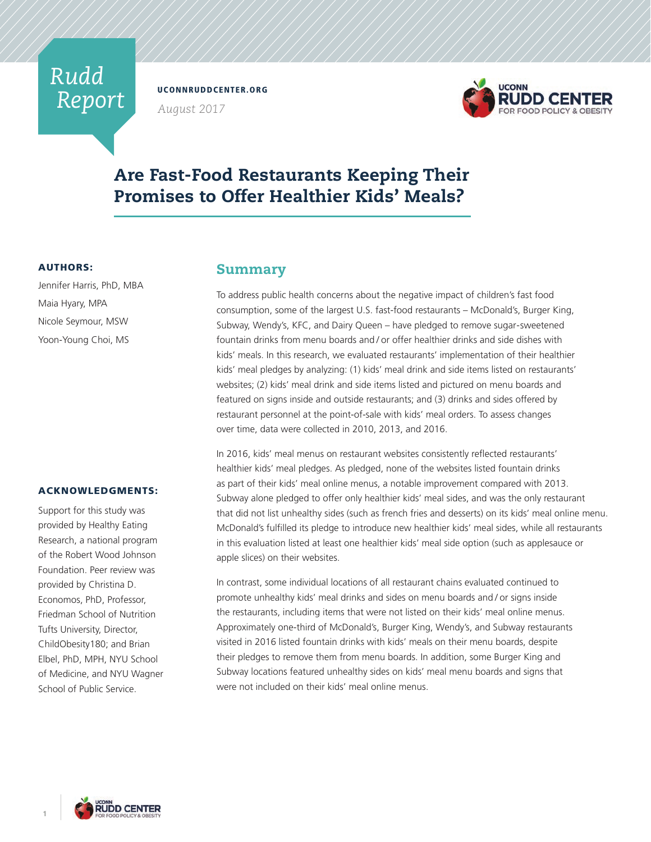# *Rudd Report*

UCONNRUDDCENTER.ORG

*August 2017*



# Are Fast-Food Restaurants Keeping Their Promises to Offer Healthier Kids' Meals?

## AUTHORS:

Jennifer Harris, PhD, MBA Maia Hyary, MPA Nicole Seymour, MSW Yoon-Young Choi, MS

## ACKNOWLEDGMENTS:

Support for this study was provided by Healthy Eating Research, a national program of the Robert Wood Johnson Foundation. Peer review was provided by Christina D. Economos, PhD, Professor, Friedman School of Nutrition Tufts University, Director, ChildObesity180; and Brian Elbel, PhD, MPH, NYU School of Medicine, and NYU Wagner School of Public Service.

## Summary

To address public health concerns about the negative impact of children's fast food consumption, some of the largest U.S. fast-food restaurants – McDonald's, Burger King, Subway, Wendy's, KFC, and Dairy Queen – have pledged to remove sugar-sweetened fountain drinks from menu boards and / or offer healthier drinks and side dishes with kids' meals. In this research, we evaluated restaurants' implementation of their healthier kids' meal pledges by analyzing: (1) kids' meal drink and side items listed on restaurants' websites; (2) kids' meal drink and side items listed and pictured on menu boards and featured on signs inside and outside restaurants; and (3) drinks and sides offered by restaurant personnel at the point-of-sale with kids' meal orders. To assess changes over time, data were collected in 2010, 2013, and 2016.

In 2016, kids' meal menus on restaurant websites consistently reflected restaurants' healthier kids' meal pledges. As pledged, none of the websites listed fountain drinks as part of their kids' meal online menus, a notable improvement compared with 2013. Subway alone pledged to offer only healthier kids' meal sides, and was the only restaurant that did not list unhealthy sides (such as french fries and desserts) on its kids' meal online menu. McDonald's fulfilled its pledge to introduce new healthier kids' meal sides, while all restaurants in this evaluation listed at least one healthier kids' meal side option (such as applesauce or apple slices) on their websites.

In contrast, some individual locations of all restaurant chains evaluated continued to promote unhealthy kids' meal drinks and sides on menu boards and / or signs inside the restaurants, including items that were not listed on their kids' meal online menus. Approximately one-third of McDonald's, Burger King, Wendy's, and Subway restaurants visited in 2016 listed fountain drinks with kids' meals on their menu boards, despite their pledges to remove them from menu boards. In addition, some Burger King and Subway locations featured unhealthy sides on kids' meal menu boards and signs that were not included on their kids' meal online menus.

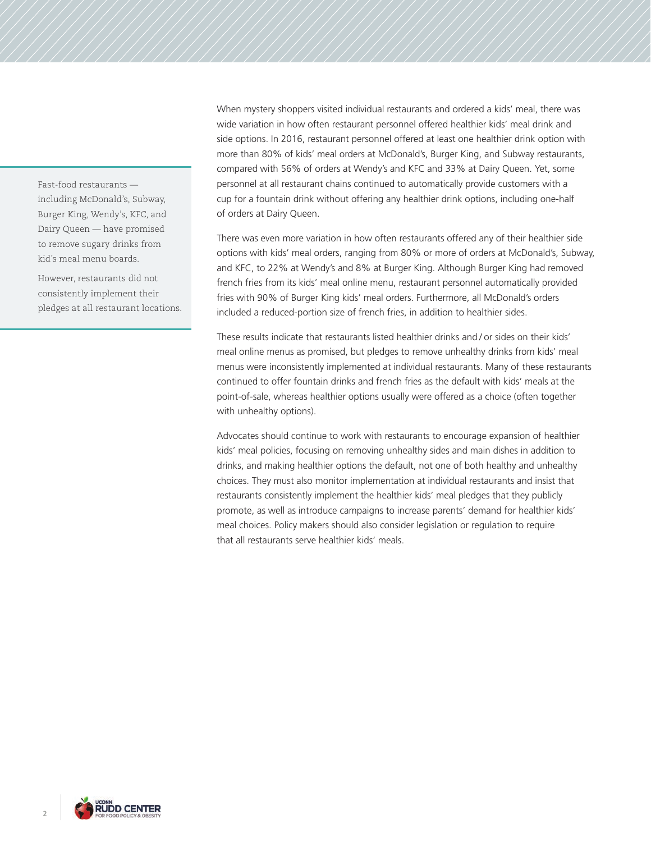Fast-food restaurants including McDonald's, Subway, Burger King, Wendy's, KFC, and Dairy Queen — have promised to remove sugary drinks from kid's meal menu boards.

However, restaurants did not consistently implement their pledges at all restaurant locations. When mystery shoppers visited individual restaurants and ordered a kids' meal, there was wide variation in how often restaurant personnel offered healthier kids' meal drink and side options. In 2016, restaurant personnel offered at least one healthier drink option with more than 80% of kids' meal orders at McDonald's, Burger King, and Subway restaurants, compared with 56% of orders at Wendy's and KFC and 33% at Dairy Queen. Yet, some personnel at all restaurant chains continued to automatically provide customers with a cup for a fountain drink without offering any healthier drink options, including one-half of orders at Dairy Queen.

There was even more variation in how often restaurants offered any of their healthier side options with kids' meal orders, ranging from 80% or more of orders at McDonald's, Subway, and KFC, to 22% at Wendy's and 8% at Burger King. Although Burger King had removed french fries from its kids' meal online menu, restaurant personnel automatically provided fries with 90% of Burger King kids' meal orders. Furthermore, all McDonald's orders included a reduced-portion size of french fries, in addition to healthier sides.

These results indicate that restaurants listed healthier drinks and / or sides on their kids' meal online menus as promised, but pledges to remove unhealthy drinks from kids' meal menus were inconsistently implemented at individual restaurants. Many of these restaurants continued to offer fountain drinks and french fries as the default with kids' meals at the point-of-sale, whereas healthier options usually were offered as a choice (often together with unhealthy options).

Advocates should continue to work with restaurants to encourage expansion of healthier kids' meal policies, focusing on removing unhealthy sides and main dishes in addition to drinks, and making healthier options the default, not one of both healthy and unhealthy choices. They must also monitor implementation at individual restaurants and insist that restaurants consistently implement the healthier kids' meal pledges that they publicly promote, as well as introduce campaigns to increase parents' demand for healthier kids' meal choices. Policy makers should also consider legislation or regulation to require that all restaurants serve healthier kids' meals.

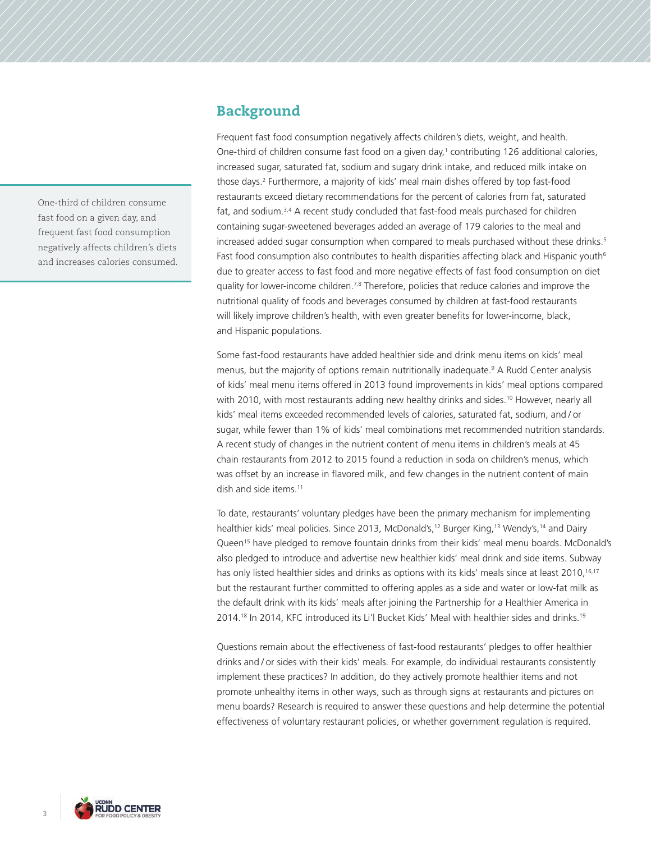One-third of children consume fast food on a given day, and frequent fast food consumption negatively affects children's diets and increases calories consumed.

## Background

Frequent fast food consumption negatively affects children's diets, weight, and health. One-third of children consume fast food on a given day,<sup>1</sup> contributing 126 additional calories, increased sugar, saturated fat, sodium and sugary drink intake, and reduced milk intake on those days.2 Furthermore, a majority of kids' meal main dishes offered by top fast-food restaurants exceed dietary recommendations for the percent of calories from fat, saturated fat, and sodium.<sup>3,4</sup> A recent study concluded that fast-food meals purchased for children containing sugar-sweetened beverages added an average of 179 calories to the meal and increased added sugar consumption when compared to meals purchased without these drinks.<sup>5</sup> Fast food consumption also contributes to health disparities affecting black and Hispanic youth<sup>6</sup> due to greater access to fast food and more negative effects of fast food consumption on diet quality for lower-income children.<sup>7,8</sup> Therefore, policies that reduce calories and improve the nutritional quality of foods and beverages consumed by children at fast-food restaurants will likely improve children's health, with even greater benefits for lower-income, black, and Hispanic populations.

Some fast-food restaurants have added healthier side and drink menu items on kids' meal menus, but the majority of options remain nutritionally inadequate.<sup>9</sup> A Rudd Center analysis of kids' meal menu items offered in 2013 found improvements in kids' meal options compared with 2010, with most restaurants adding new healthy drinks and sides.<sup>10</sup> However, nearly all kids' meal items exceeded recommended levels of calories, saturated fat, sodium, and / or sugar, while fewer than 1% of kids' meal combinations met recommended nutrition standards. A recent study of changes in the nutrient content of menu items in children's meals at 45 chain restaurants from 2012 to 2015 found a reduction in soda on children's menus, which was offset by an increase in flavored milk, and few changes in the nutrient content of main dish and side items.11

To date, restaurants' voluntary pledges have been the primary mechanism for implementing healthier kids' meal policies. Since 2013, McDonald's,<sup>12</sup> Burger King,<sup>13</sup> Wendy's,<sup>14</sup> and Dairy Queen15 have pledged to remove fountain drinks from their kids' meal menu boards. McDonald's also pledged to introduce and advertise new healthier kids' meal drink and side items. Subway has only listed healthier sides and drinks as options with its kids' meals since at least 2010,<sup>16,17</sup> but the restaurant further committed to offering apples as a side and water or low-fat milk as the default drink with its kids' meals after joining the Partnership for a Healthier America in 2014.18 In 2014, KFC introduced its Li'l Bucket Kids' Meal with healthier sides and drinks.19

Questions remain about the effectiveness of fast-food restaurants' pledges to offer healthier drinks and / or sides with their kids' meals. For example, do individual restaurants consistently implement these practices? In addition, do they actively promote healthier items and not promote unhealthy items in other ways, such as through signs at restaurants and pictures on menu boards? Research is required to answer these questions and help determine the potential effectiveness of voluntary restaurant policies, or whether government regulation is required.

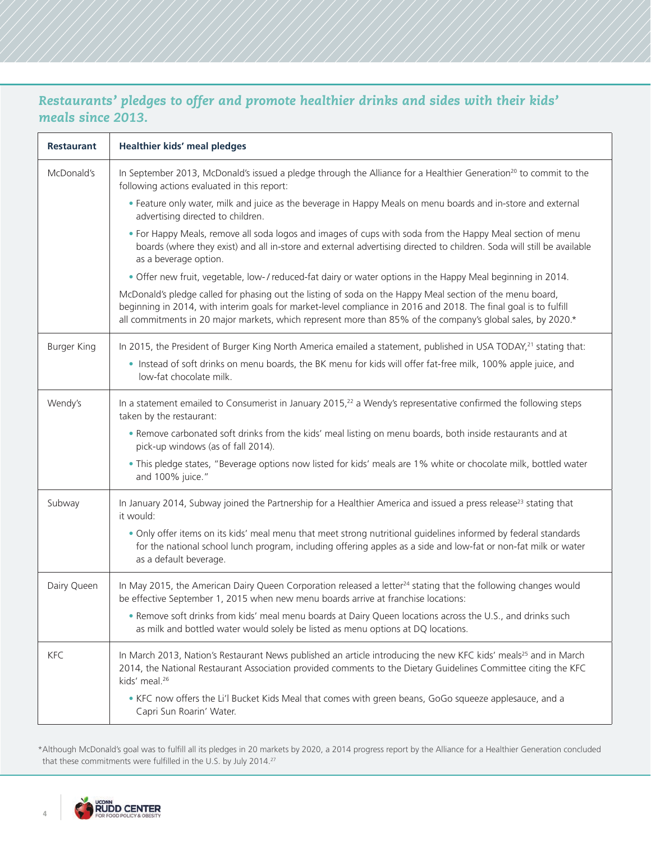# *Restaurants' pledges to offer and promote healthier drinks and sides with their kids' meals since 2013.*

| <b>Restaurant</b>  | <b>Healthier kids' meal pledges</b>                                                                                                                                                                                                                                                                                                          |
|--------------------|----------------------------------------------------------------------------------------------------------------------------------------------------------------------------------------------------------------------------------------------------------------------------------------------------------------------------------------------|
| McDonald's         | In September 2013, McDonald's issued a pledge through the Alliance for a Healthier Generation <sup>20</sup> to commit to the<br>following actions evaluated in this report:                                                                                                                                                                  |
|                    | . Feature only water, milk and juice as the beverage in Happy Meals on menu boards and in-store and external<br>advertising directed to children.                                                                                                                                                                                            |
|                    | . For Happy Meals, remove all soda logos and images of cups with soda from the Happy Meal section of menu<br>boards (where they exist) and all in-store and external advertising directed to children. Soda will still be available<br>as a beverage option.                                                                                 |
|                    | . Offer new fruit, vegetable, low-/reduced-fat dairy or water options in the Happy Meal beginning in 2014.                                                                                                                                                                                                                                   |
|                    | McDonald's pledge called for phasing out the listing of soda on the Happy Meal section of the menu board,<br>beginning in 2014, with interim goals for market-level compliance in 2016 and 2018. The final goal is to fulfill<br>all commitments in 20 major markets, which represent more than 85% of the company's global sales, by 2020.* |
| <b>Burger King</b> | In 2015, the President of Burger King North America emailed a statement, published in USA TODAY, <sup>21</sup> stating that:                                                                                                                                                                                                                 |
|                    | . Instead of soft drinks on menu boards, the BK menu for kids will offer fat-free milk, 100% apple juice, and<br>low-fat chocolate milk.                                                                                                                                                                                                     |
| Wendy's            | In a statement emailed to Consumerist in January 2015, $2^2$ a Wendy's representative confirmed the following steps<br>taken by the restaurant:                                                                                                                                                                                              |
|                    | . Remove carbonated soft drinks from the kids' meal listing on menu boards, both inside restaurants and at<br>pick-up windows (as of fall 2014).                                                                                                                                                                                             |
|                    | . This pledge states, "Beverage options now listed for kids' meals are 1% white or chocolate milk, bottled water<br>and 100% juice."                                                                                                                                                                                                         |
| Subway             | In January 2014, Subway joined the Partnership for a Healthier America and issued a press release <sup>23</sup> stating that<br>it would:                                                                                                                                                                                                    |
|                    | . Only offer items on its kids' meal menu that meet strong nutritional guidelines informed by federal standards<br>for the national school lunch program, including offering apples as a side and low-fat or non-fat milk or water<br>as a default beverage.                                                                                 |
| Dairy Queen        | In May 2015, the American Dairy Queen Corporation released a letter <sup>24</sup> stating that the following changes would<br>be effective September 1, 2015 when new menu boards arrive at franchise locations:                                                                                                                             |
|                    | . Remove soft drinks from kids' meal menu boards at Dairy Queen locations across the U.S., and drinks such<br>as milk and bottled water would solely be listed as menu options at DQ locations.                                                                                                                                              |
| <b>KFC</b>         | In March 2013, Nation's Restaurant News published an article introducing the new KFC kids' meals <sup>25</sup> and in March<br>2014, the National Restaurant Association provided comments to the Dietary Guidelines Committee citing the KFC<br>kids' meal. <sup>26</sup>                                                                   |
|                    | . KFC now offers the Li'l Bucket Kids Meal that comes with green beans, GoGo squeeze applesauce, and a<br>Capri Sun Roarin' Water.                                                                                                                                                                                                           |

\*Although McDonald's goal was to fulfill all its pledges in 20 markets by 2020, a 2014 progress report by the Alliance for a Healthier Generation concluded that these commitments were fulfilled in the U.S. by July 2014.27

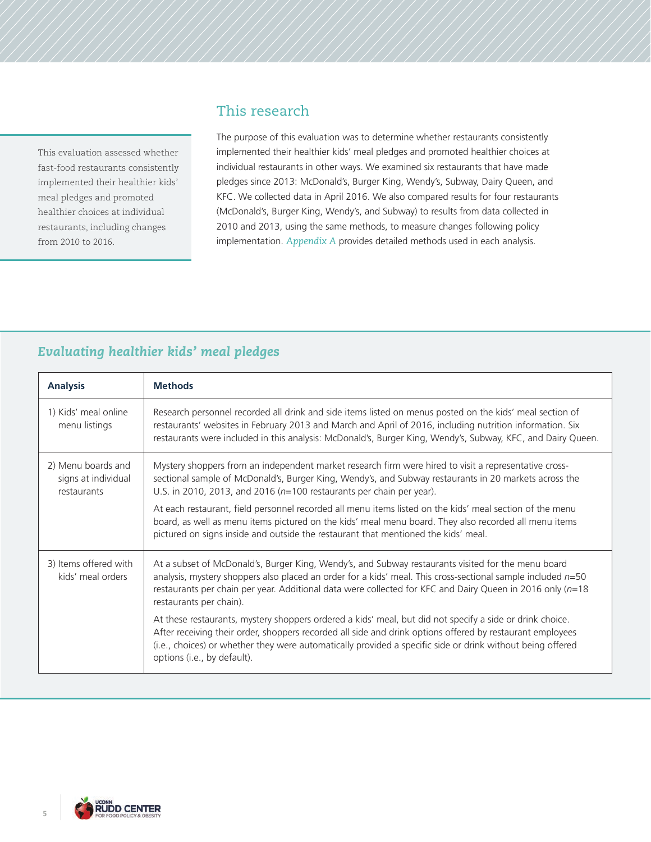This evaluation assessed whether fast-food restaurants consistently implemented their healthier kids' meal pledges and promoted healthier choices at individual restaurants, including changes from 2010 to 2016.

# This research

The purpose of this evaluation was to determine whether restaurants consistently implemented their healthier kids' meal pledges and promoted healthier choices at individual restaurants in other ways. We examined six restaurants that have made pledges since 2013: McDonald's, Burger King, Wendy's, Subway, Dairy Queen, and KFC. We collected data in April 2016. We also compared results for four restaurants (McDonald's, Burger King, Wendy's, and Subway) to results from data collected in 2010 and 2013, using the same methods, to measure changes following policy implementation. *Appendix A* provides detailed methods used in each analysis.

# *Evaluating healthier kids' meal pledges*

| <b>Analysis</b>                                          | <b>Methods</b>                                                                                                                                                                                                                                                                                                                                                     |
|----------------------------------------------------------|--------------------------------------------------------------------------------------------------------------------------------------------------------------------------------------------------------------------------------------------------------------------------------------------------------------------------------------------------------------------|
| 1) Kids' meal online<br>menu listings                    | Research personnel recorded all drink and side items listed on menus posted on the kids' meal section of<br>restaurants' websites in February 2013 and March and April of 2016, including nutrition information. Six<br>restaurants were included in this analysis: McDonald's, Burger King, Wendy's, Subway, KFC, and Dairy Queen.                                |
| 2) Menu boards and<br>signs at individual<br>restaurants | Mystery shoppers from an independent market research firm were hired to visit a representative cross-<br>sectional sample of McDonald's, Burger King, Wendy's, and Subway restaurants in 20 markets across the<br>U.S. in 2010, 2013, and 2016 ( $n=100$ restaurants per chain per year).                                                                          |
|                                                          | At each restaurant, field personnel recorded all menu items listed on the kids' meal section of the menu<br>board, as well as menu items pictured on the kids' meal menu board. They also recorded all menu items<br>pictured on signs inside and outside the restaurant that mentioned the kids' meal.                                                            |
| 3) Items offered with<br>kids' meal orders               | At a subset of McDonald's, Burger King, Wendy's, and Subway restaurants visited for the menu board<br>analysis, mystery shoppers also placed an order for a kids' meal. This cross-sectional sample included $n=50$<br>restaurants per chain per year. Additional data were collected for KFC and Dairy Queen in 2016 only ( $n=18$<br>restaurants per chain).     |
|                                                          | At these restaurants, mystery shoppers ordered a kids' meal, but did not specify a side or drink choice.<br>After receiving their order, shoppers recorded all side and drink options offered by restaurant employees<br>(i.e., choices) or whether they were automatically provided a specific side or drink without being offered<br>options (i.e., by default). |

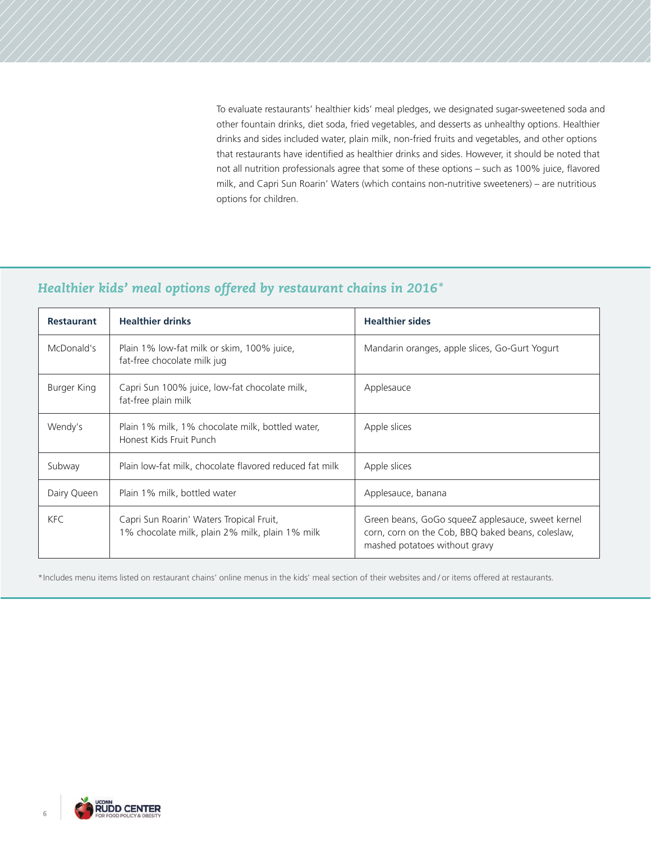To evaluate restaurants' healthier kids' meal pledges, we designated sugar-sweetened soda and other fountain drinks, diet soda, fried vegetables, and desserts as unhealthy options. Healthier drinks and sides included water, plain milk, non-fried fruits and vegetables, and other options that restaurants have identified as healthier drinks and sides. However, it should be noted that not all nutrition professionals agree that some of these options – such as 100% juice, flavored milk, and Capri Sun Roarin' Waters (which contains non-nutritive sweeteners) – are nutritious options for children.

# *Healthier kids' meal options offered by restaurant chains in 2016\**

| <b>Restaurant</b> | <b>Healthier drinks</b>                                                                     | <b>Healthier sides</b>                                                                                                                  |
|-------------------|---------------------------------------------------------------------------------------------|-----------------------------------------------------------------------------------------------------------------------------------------|
| McDonald's        | Plain 1% low-fat milk or skim, 100% juice,<br>fat-free chocolate milk jug                   | Mandarin oranges, apple slices, Go-Gurt Yogurt                                                                                          |
| Burger King       | Capri Sun 100% juice, low-fat chocolate milk,<br>fat-free plain milk                        | Applesauce                                                                                                                              |
| Wendy's           | Plain 1% milk, 1% chocolate milk, bottled water,<br>Honest Kids Fruit Punch                 | Apple slices                                                                                                                            |
| Subway            | Plain low-fat milk, chocolate flavored reduced fat milk                                     | Apple slices                                                                                                                            |
| Dairy Queen       | Plain 1% milk, bottled water                                                                | Applesauce, banana                                                                                                                      |
| <b>KFC</b>        | Capri Sun Roarin' Waters Tropical Fruit,<br>1% chocolate milk, plain 2% milk, plain 1% milk | Green beans, GoGo squeeZ applesauce, sweet kernel<br>corn, corn on the Cob, BBQ baked beans, coleslaw,<br>mashed potatoes without gravy |

\*Includes menu items listed on restaurant chains' online menus in the kids' meal section of their websites and / or items offered at restaurants.

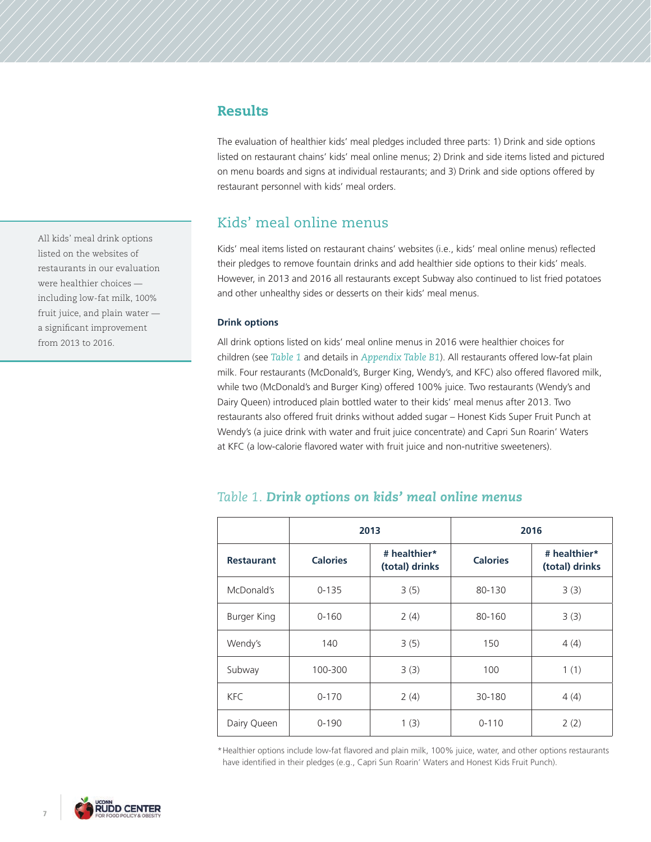## Results

The evaluation of healthier kids' meal pledges included three parts: 1) Drink and side options listed on restaurant chains' kids' meal online menus; 2) Drink and side items listed and pictured on menu boards and signs at individual restaurants; and 3) Drink and side options offered by restaurant personnel with kids' meal orders.

# Kids' meal online menus

Kids' meal items listed on restaurant chains' websites (i.e., kids' meal online menus) reflected their pledges to remove fountain drinks and add healthier side options to their kids' meals. However, in 2013 and 2016 all restaurants except Subway also continued to list fried potatoes and other unhealthy sides or desserts on their kids' meal menus.

## **Drink options**

All drink options listed on kids' meal online menus in 2016 were healthier choices for children (see *Table 1* and details in *Appendix Table B1*). All restaurants offered low-fat plain milk. Four restaurants (McDonald's, Burger King, Wendy's, and KFC) also offered flavored milk, while two (McDonald's and Burger King) offered 100% juice. Two restaurants (Wendy's and Dairy Queen) introduced plain bottled water to their kids' meal menus after 2013. Two restaurants also offered fruit drinks without added sugar – Honest Kids Super Fruit Punch at Wendy's (a juice drink with water and fruit juice concentrate) and Capri Sun Roarin' Waters at KFC (a low-calorie flavored water with fruit juice and non-nutritive sweeteners).

|                   |                 | 2013<br>2016                   |                 |                                |
|-------------------|-----------------|--------------------------------|-----------------|--------------------------------|
| <b>Restaurant</b> | <b>Calories</b> | # healthier*<br>(total) drinks | <b>Calories</b> | # healthier*<br>(total) drinks |
| McDonald's        | $0 - 135$       | 3(5)                           | 80-130          | 3(3)                           |
| Burger King       | $0 - 160$       | 2(4)                           | 80-160          | 3(3)                           |
| Wendy's           | 140             | 3(5)                           | 150             | 4(4)                           |
| Subway            | 100-300         | 3(3)                           | 100             | 1(1)                           |
| KFC.              | $0 - 170$       | 2(4)                           | 30-180          | 4(4)                           |
| Dairy Queen       | $0 - 190$       | 1(3)                           | $0 - 110$       | 2(2)                           |

## *Table 1. Drink options on kids' meal online menus*

\*Healthier options include low-fat flavored and plain milk, 100% juice, water, and other options restaurants have identified in their pledges (e.g., Capri Sun Roarin' Waters and Honest Kids Fruit Punch).

All kids' meal drink options listed on the websites of restaurants in our evaluation were healthier choices including low-fat milk, 100% fruit juice, and plain water a significant improvement from 2013 to 2016.

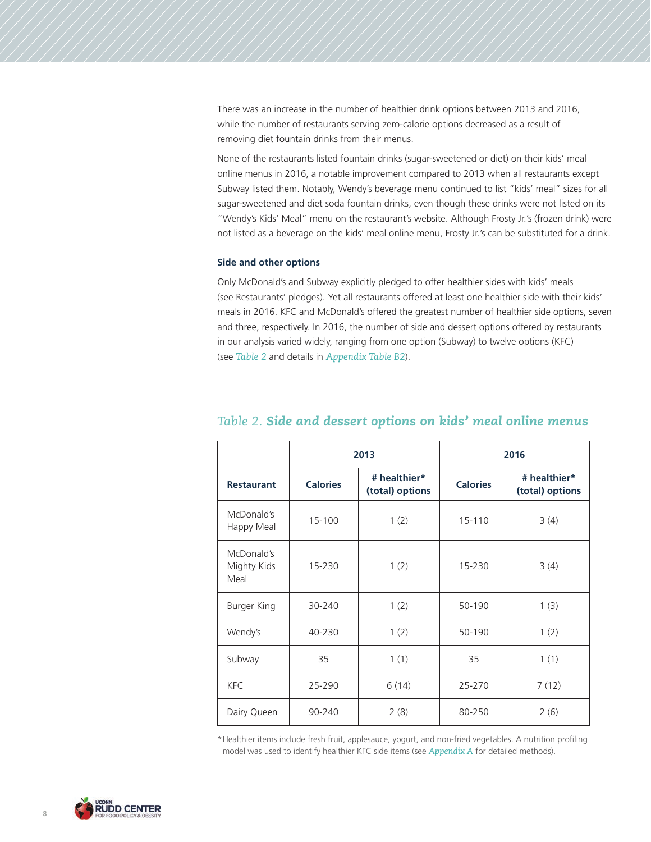There was an increase in the number of healthier drink options between 2013 and 2016, while the number of restaurants serving zero-calorie options decreased as a result of removing diet fountain drinks from their menus.

None of the restaurants listed fountain drinks (sugar-sweetened or diet) on their kids' meal online menus in 2016, a notable improvement compared to 2013 when all restaurants except Subway listed them. Notably, Wendy's beverage menu continued to list "kids' meal" sizes for all sugar-sweetened and diet soda fountain drinks, even though these drinks were not listed on its "Wendy's Kids' Meal" menu on the restaurant's website. Although Frosty Jr.'s (frozen drink) were not listed as a beverage on the kids' meal online menu, Frosty Jr.'s can be substituted for a drink.

## **Side and other options**

Only McDonald's and Subway explicitly pledged to offer healthier sides with kids' meals (see Restaurants' pledges). Yet all restaurants offered at least one healthier side with their kids' meals in 2016. KFC and McDonald's offered the greatest number of healthier side options, seven and three, respectively. In 2016, the number of side and dessert options offered by restaurants in our analysis varied widely, ranging from one option (Subway) to twelve options (KFC) (see *Table 2* and details in *Appendix Table B2*).

|                                   |                 | 2013                            |                 | 2016                            |
|-----------------------------------|-----------------|---------------------------------|-----------------|---------------------------------|
| <b>Restaurant</b>                 | <b>Calories</b> | # healthier*<br>(total) options | <b>Calories</b> | # healthier*<br>(total) options |
| McDonald's<br>Happy Meal          | 15-100          | 1(2)                            | 15-110          | 3(4)                            |
| McDonald's<br>Mighty Kids<br>Meal | 15-230          | 1(2)                            | 15-230          | 3(4)                            |
| Burger King                       | 30-240          | 1(2)                            | 50-190          | 1(3)                            |
| Wendy's                           | 40-230          | 1(2)                            | 50-190          | 1(2)                            |
| Subway                            | 35              | 1(1)                            | 35              | 1(1)                            |
| <b>KFC</b>                        | 25-290          | 6(14)                           | 25-270          | 7(12)                           |
| Dairy Queen                       | 90-240          | 2(8)                            | 80-250          | 2(6)                            |

## *Table 2. Side and dessert options on kids' meal online menus*

\*Healthier items include fresh fruit, applesauce, yogurt, and non-fried vegetables. A nutrition profiling model was used to identify healthier KFC side items (see *Appendix A* for detailed methods).

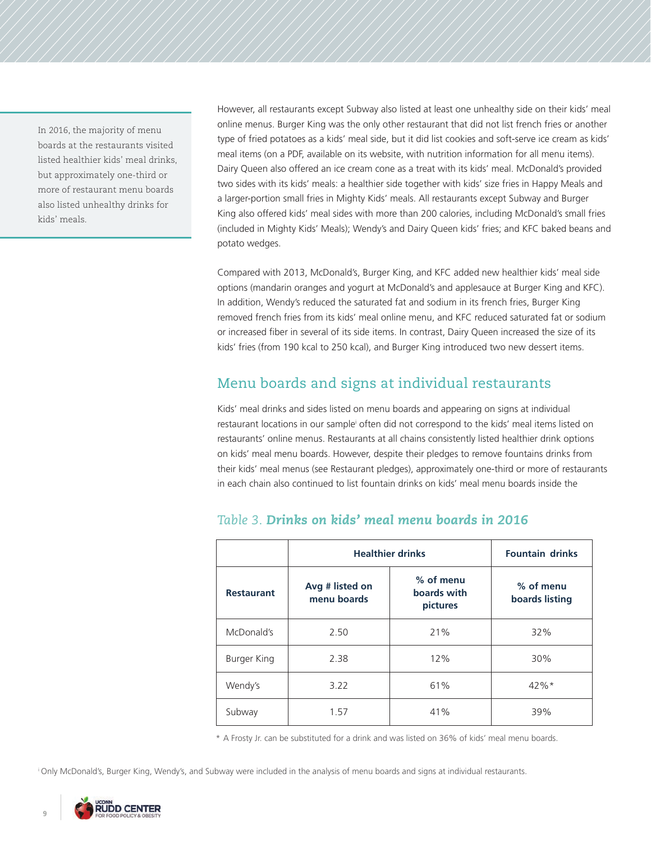In 2016, the majority of menu boards at the restaurants visited listed healthier kids' meal drinks, but approximately one-third or more of restaurant menu boards also listed unhealthy drinks for kids' meals.

However, all restaurants except Subway also listed at least one unhealthy side on their kids' meal online menus. Burger King was the only other restaurant that did not list french fries or another type of fried potatoes as a kids' meal side, but it did list cookies and soft-serve ice cream as kids' meal items (on a PDF, available on its website, with nutrition information for all menu items). Dairy Queen also offered an ice cream cone as a treat with its kids' meal. McDonald's provided two sides with its kids' meals: a healthier side together with kids' size fries in Happy Meals and a larger-portion small fries in Mighty Kids' meals. All restaurants except Subway and Burger King also offered kids' meal sides with more than 200 calories, including McDonald's small fries (included in Mighty Kids' Meals); Wendy's and Dairy Queen kids' fries; and KFC baked beans and potato wedges.

Compared with 2013, McDonald's, Burger King, and KFC added new healthier kids' meal side options (mandarin oranges and yogurt at McDonald's and applesauce at Burger King and KFC). In addition, Wendy's reduced the saturated fat and sodium in its french fries, Burger King removed french fries from its kids' meal online menu, and KFC reduced saturated fat or sodium or increased fiber in several of its side items. In contrast, Dairy Queen increased the size of its kids' fries (from 190 kcal to 250 kcal), and Burger King introduced two new dessert items.

# Menu boards and signs at individual restaurants

Kids' meal drinks and sides listed on menu boards and appearing on signs at individual restaurant locations in our sample<sup>i</sup> often did not correspond to the kids' meal items listed on restaurants' online menus. Restaurants at all chains consistently listed healthier drink options on kids' meal menu boards. However, despite their pledges to remove fountains drinks from their kids' meal menus (see Restaurant pledges), approximately one-third or more of restaurants in each chain also continued to list fountain drinks on kids' meal menu boards inside the

|                    | <b>Healthier drinks</b>                                                | <b>Fountain drinks</b> |                             |
|--------------------|------------------------------------------------------------------------|------------------------|-----------------------------|
| <b>Restaurant</b>  | % of menu<br>Avg # listed on<br>boards with<br>menu boards<br>pictures |                        | % of menu<br>boards listing |
| McDonald's         | 2.50                                                                   | 21%                    | 32%                         |
| <b>Burger King</b> | 2.38                                                                   | 12%                    | 30%                         |
| Wendy's            | 3.22                                                                   | 61%                    | $42\%*$                     |
| Subway             | 1.57                                                                   | 41%                    | 39%                         |

## *Table 3. Drinks on kids' meal menu boards in 2016*

\* A Frosty Jr. can be substituted for a drink and was listed on 36% of kids' meal menu boards.

i Only McDonald's, Burger King, Wendy's, and Subway were included in the analysis of menu boards and signs at individual restaurants.

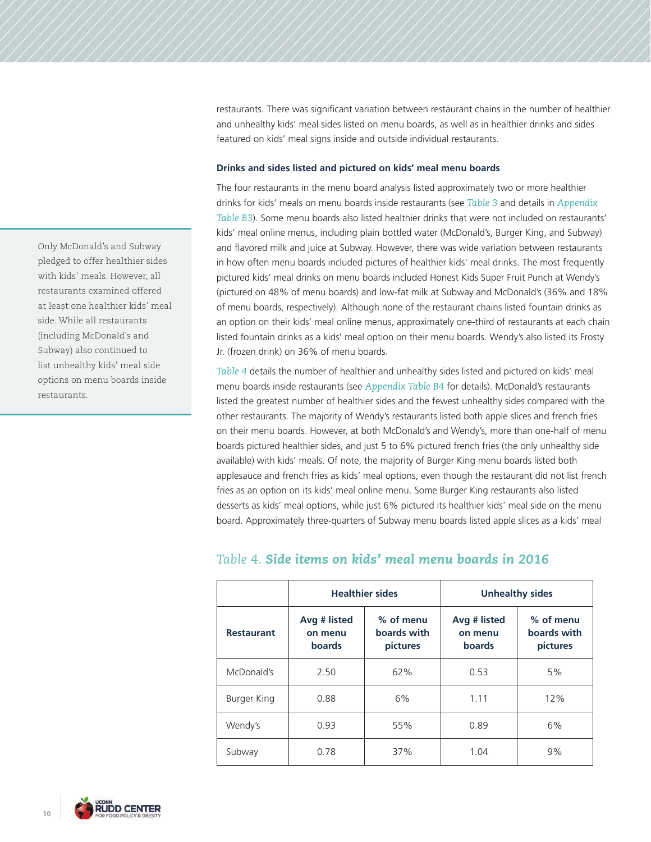restaurants. There was significant variation between restaurant chains in the number of healthier and unhealthy kids' meal sides listed on menu boards, as well as in healthier drinks and sides featured on kids' meal signs inside and outside individual restaurants.

### **Drinks and sides listed and pictured on kids' meal menu boards**

The four restaurants in the menu board analysis listed approximately two or more healthier drinks for kids' meals on menu boards inside restaurants (see *Table 3* and details in *Appendix Table B3*). Some menu boards also listed healthier drinks that were not included on restaurants' kids' meal online menus, including plain bottled water (McDonald's, Burger King, and Subway) and flavored milk and juice at Subway. However, there was wide variation between restaurants in how often menu boards included pictures of healthier kids' meal drinks. The most frequently pictured kids' meal drinks on menu boards included Honest Kids Super Fruit Punch at Wendy's (pictured on 48% of menu boards) and low-fat milk at Subway and McDonald's (36% and 18% of menu boards, respectively). Although none of the restaurant chains listed fountain drinks as an option on their kids' meal online menus, approximately one-third of restaurants at each chain listed fountain drinks as a kids' meal option on their menu boards. Wendy's also listed its Frosty Jr. (frozen drink) on 36% of menu boards.

*Table 4* details the number of healthier and unhealthy sides listed and pictured on kids' meal menu boards inside restaurants (see *Appendix Table B4* for details). McDonald's restaurants listed the greatest number of healthier sides and the fewest unhealthy sides compared with the other restaurants. The majority of Wendy's restaurants listed both apple slices and french fries on their menu boards. However, at both McDonald's and Wendy's, more than one-half of menu boards pictured healthier sides, and just 5 to 6% pictured french fries (the only unhealthy side available) with kids' meals. Of note, the majority of Burger King menu boards listed both applesauce and french fries as kids' meal options, even though the restaurant did not list french fries as an option on its kids' meal online menu. Some Burger King restaurants also listed desserts as kids' meal options, while just 6% pictured its healthier kids' meal side on the menu board. Approximately three-quarters of Subway menu boards listed apple slices as a kids' meal

|                   |                                                                                  | <b>Healthier sides</b> | <b>Unhealthy sides</b>                   |                                      |
|-------------------|----------------------------------------------------------------------------------|------------------------|------------------------------------------|--------------------------------------|
| <b>Restaurant</b> | % of menu<br>Avg # listed<br>boards with<br>on menu<br><b>boards</b><br>pictures |                        | Avg # listed<br>on menu<br><b>boards</b> | % of menu<br>boards with<br>pictures |
| McDonald's        | 2.50                                                                             | 62%                    | 0.53                                     | 5%                                   |
| Burger King       | 0.88                                                                             | 6%                     | 1.11                                     | 12%                                  |
| Wendy's           | 0.93                                                                             | 55%                    | 0.89                                     | 6%                                   |
| Subway            | 0.78                                                                             | 37%                    | 1.04                                     | 9%                                   |

## *Table 4. Side items on kids' meal menu boards in 2016*

Only McDonald's and Subway pledged to offer healthier sides with kids' meals. However, all restaurants examined offered at least one healthier kids' meal side. While all restaurants (including McDonald's and Subway) also continued to list unhealthy kids' meal side options on menu boards inside restaurants.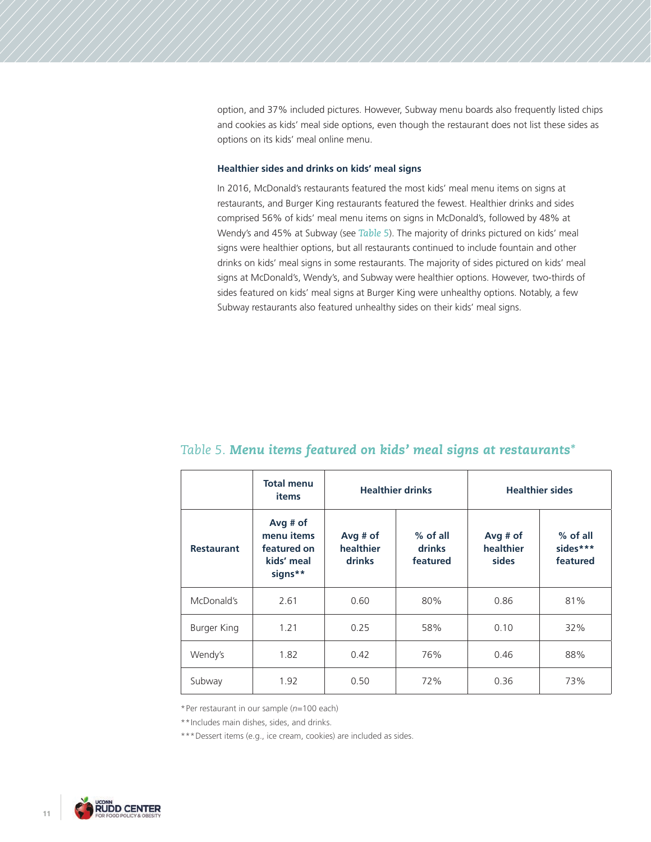option, and 37% included pictures. However, Subway menu boards also frequently listed chips and cookies as kids' meal side options, even though the restaurant does not list these sides as options on its kids' meal online menu.

## **Healthier sides and drinks on kids' meal signs**

In 2016, McDonald's restaurants featured the most kids' meal menu items on signs at restaurants, and Burger King restaurants featured the fewest. Healthier drinks and sides comprised 56% of kids' meal menu items on signs in McDonald's, followed by 48% at Wendy's and 45% at Subway (see *Table 5*). The majority of drinks pictured on kids' meal signs were healthier options, but all restaurants continued to include fountain and other drinks on kids' meal signs in some restaurants. The majority of sides pictured on kids' meal signs at McDonald's, Wendy's, and Subway were healthier options. However, two-thirds of sides featured on kids' meal signs at Burger King were unhealthy options. Notably, a few Subway restaurants also featured unhealthy sides on their kids' meal signs.

|                   | <b>Total menu</b><br>items                                       |                                          | <b>Healthier drinks</b>          |                                  | <b>Healthier sides</b>           |
|-------------------|------------------------------------------------------------------|------------------------------------------|----------------------------------|----------------------------------|----------------------------------|
| <b>Restaurant</b> | Avg $#$ of<br>menu items<br>featured on<br>kids' meal<br>signs** | Avg $#$ of<br>healthier<br><b>drinks</b> | $%$ of all<br>drinks<br>featured | Avg $#$ of<br>healthier<br>sides | % of all<br>sides***<br>featured |
| McDonald's        | 2.61                                                             | 0.60                                     | 80%                              | 0.86                             | 81%                              |
| Burger King       | 1.21                                                             | 0.25                                     | 58%                              | 0.10                             | 32%                              |
| Wendy's           | 1.82                                                             | 0.42                                     | 76%                              | 0.46                             | 88%                              |
| Subway            | 1.92                                                             | 0.50                                     | 72%                              | 0.36                             | 73%                              |

## *Table 5. Menu items featured on kids' meal signs at restaurants\**

\*Per restaurant in our sample (*n*=100 each)

\*\*Includes main dishes, sides, and drinks.

\*\*\* Dessert items (e.g., ice cream, cookies) are included as sides.

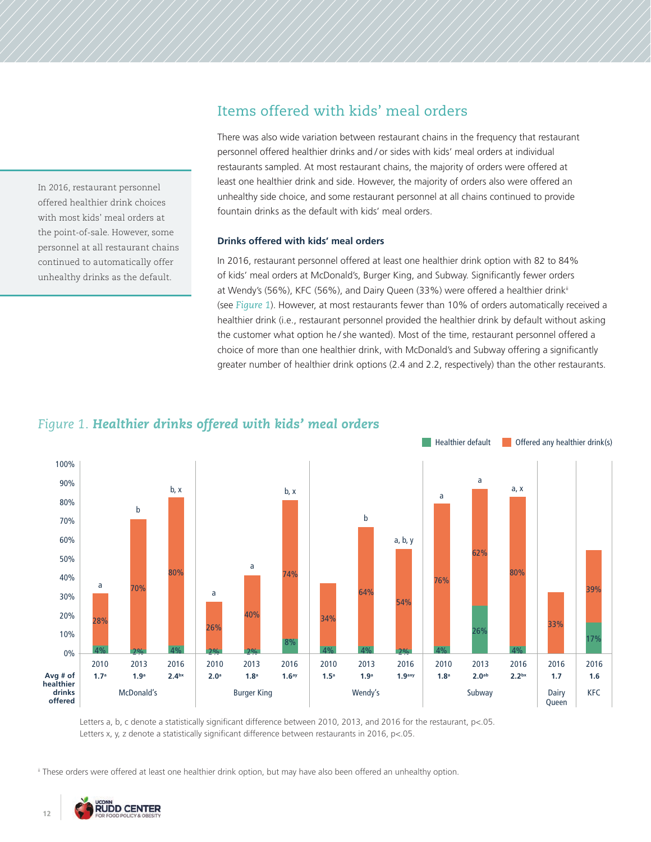## In 2016, restaurant personnel offered healthier drink choices with most kids' meal orders at the point-of-sale. However, some personnel at all restaurant chains continued to automatically offer unhealthy drinks as the default.

# Items offered with kids' meal orders

There was also wide variation between restaurant chains in the frequency that restaurant personnel offered healthier drinks and / or sides with kids' meal orders at individual restaurants sampled. At most restaurant chains, the majority of orders were offered at least one healthier drink and side. However, the majority of orders also were offered an unhealthy side choice, and some restaurant personnel at all chains continued to provide fountain drinks as the default with kids' meal orders.

## **Drinks offered with kids' meal orders**

In 2016, restaurant personnel offered at least one healthier drink option with 82 to 84% of kids' meal orders at McDonald's, Burger King, and Subway. Significantly fewer orders at Wendy's (56%), KFC (56%), and Dairy Queen (33%) were offered a healthier drink<sup>ii</sup> (see *Figure 1*). However, at most restaurants fewer than 10% of orders automatically received a healthier drink (i.e., restaurant personnel provided the healthier drink by default without asking the customer what option he / she wanted). Most of the time, restaurant personnel offered a choice of more than one healthier drink, with McDonald's and Subway offering a significantly greater number of healthier drink options (2.4 and 2.2, respectively) than the other restaurants.





Letters a, b, c denote a statistically significant difference between 2010, 2013, and 2016 for the restaurant, p<.05. Letters x, y, z denote a statistically significant difference between restaurants in 2016, p<.05.

ii These orders were offered at least one healthier drink option, but may have also been offered an unhealthy option.

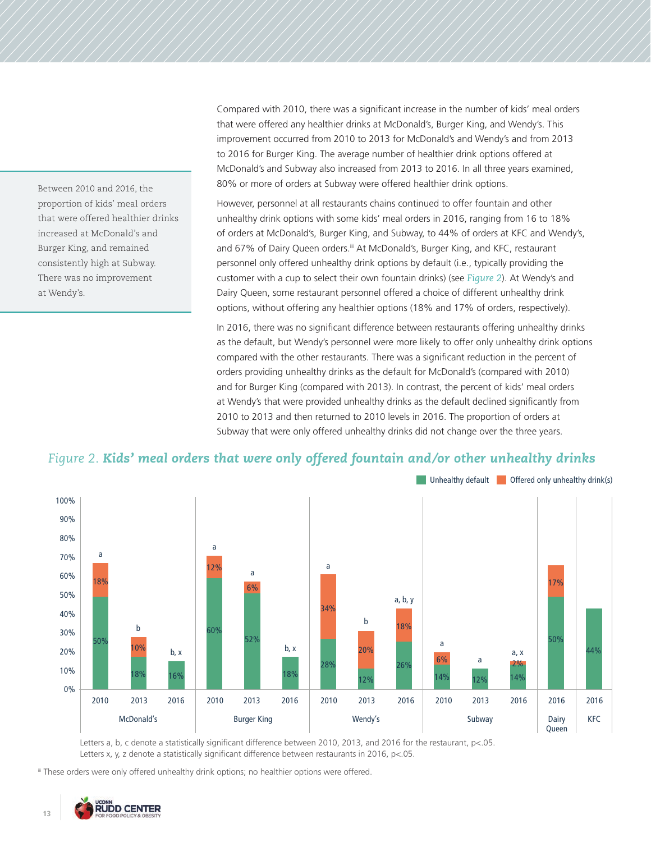that were offered any healthier drinks at McDonald's, Burger King, and Wendy's. This improvement occurred from 2010 to 2013 for McDonald's and Wendy's and from 2013 to 2016 for Burger King. The average number of healthier drink options offered at McDonald's and Subway also increased from 2013 to 2016. In all three years examined, 80% or more of orders at Subway were offered healthier drink options. However, personnel at all restaurants chains continued to offer fountain and other

unhealthy drink options with some kids' meal orders in 2016, ranging from 16 to 18% of orders at McDonald's, Burger King, and Subway, to 44% of orders at KFC and Wendy's, and 67% of Dairy Queen orders.iii At McDonald's, Burger King, and KFC, restaurant personnel only offered unhealthy drink options by default (i.e., typically providing the customer with a cup to select their own fountain drinks) (see *Figure 2*). At Wendy's and Dairy Queen, some restaurant personnel offered a choice of different unhealthy drink options, without offering any healthier options (18% and 17% of orders, respectively).

Compared with 2010, there was a significant increase in the number of kids' meal orders

In 2016, there was no significant difference between restaurants offering unhealthy drinks as the default, but Wendy's personnel were more likely to offer only unhealthy drink options compared with the other restaurants. There was a significant reduction in the percent of orders providing unhealthy drinks as the default for McDonald's (compared with 2010) and for Burger King (compared with 2013). In contrast, the percent of kids' meal orders at Wendy's that were provided unhealthy drinks as the default declined significantly from 2010 to 2013 and then returned to 2010 levels in 2016. The proportion of orders at Subway that were only offered unhealthy drinks did not change over the three years.

## *Figure 2. Kids' meal orders that were only offered fountain and/or other unhealthy drinks*



Letters a, b, c denote a statistically significant difference between 2010, 2013, and 2016 for the restaurant, p<.05. Letters x, y, z denote a statistically significant difference between restaurants in 2016, p<.05.

iii These orders were only offered unhealthy drink options; no healthier options were offered.



Between 2010 and 2016, the proportion of kids' meal orders that were offered healthier drinks increased at McDonald's and Burger King, and remained consistently high at Subway. There was no improvement

at Wendy's.

13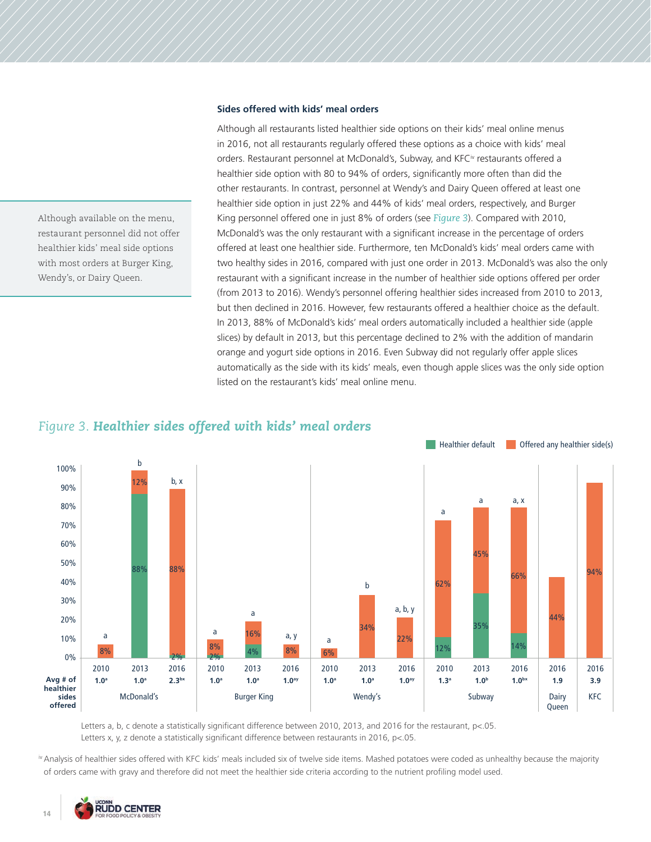### **Sides offered with kids' meal orders**

Although all restaurants listed healthier side options on their kids' meal online menus in 2016, not all restaurants regularly offered these options as a choice with kids' meal orders. Restaurant personnel at McDonald's, Subway, and KFC<sup>iv</sup> restaurants offered a healthier side option with 80 to 94% of orders, significantly more often than did the other restaurants. In contrast, personnel at Wendy's and Dairy Queen offered at least one healthier side option in just 22% and 44% of kids' meal orders, respectively, and Burger King personnel offered one in just 8% of orders (see *Figure 3*). Compared with 2010, McDonald's was the only restaurant with a significant increase in the percentage of orders offered at least one healthier side. Furthermore, ten McDonald's kids' meal orders came with two healthy sides in 2016, compared with just one order in 2013. McDonald's was also the only restaurant with a significant increase in the number of healthier side options offered per order (from 2013 to 2016). Wendy's personnel offering healthier sides increased from 2010 to 2013, but then declined in 2016. However, few restaurants offered a healthier choice as the default. In 2013, 88% of McDonald's kids' meal orders automatically included a healthier side (apple slices) by default in 2013, but this percentage declined to 2% with the addition of mandarin orange and yogurt side options in 2016. Even Subway did not regularly offer apple slices automatically as the side with its kids' meals, even though apple slices was the only side option listed on the restaurant's kids' meal online menu.

## *Figure 3. Healthier sides offered with kids' meal orders*



Letters a, b, c denote a statistically significant difference between 2010, 2013, and 2016 for the restaurant, p<.05. Letters x, y, z denote a statistically significant difference between restaurants in 2016, p<.05.

iv Analysis of healthier sides offered with KFC kids' meals included six of twelve side items. Mashed potatoes were coded as unhealthy because the majority of orders came with gravy and therefore did not meet the healthier side criteria according to the nutrient profiling model used.



Although available on the menu, restaurant personnel did not offer healthier kids' meal side options with most orders at Burger King,

Wendy's, or Dairy Queen.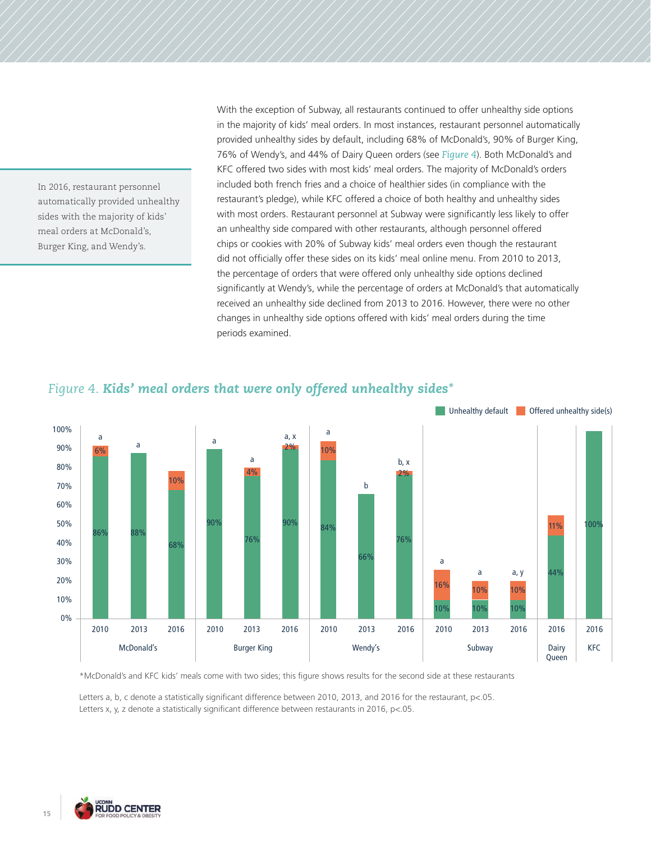In 2016, restaurant personnel automatically provided unhealthy sides with the majority of kids' meal orders at McDonald's, Burger King, and Wendy's.

With the exception of Subway, all restaurants continued to offer unhealthy side options in the majority of kids' meal orders. In most instances, restaurant personnel automatically provided unhealthy sides by default, including 68% of McDonald's, 90% of Burger King, 76% of Wendy's, and 44% of Dairy Queen orders (see *Figure 4*). Both McDonald's and KFC offered two sides with most kids' meal orders. The majority of McDonald's orders included both french fries and a choice of healthier sides (in compliance with the restaurant's pledge), while KFC offered a choice of both healthy and unhealthy sides with most orders. Restaurant personnel at Subway were significantly less likely to offer an unhealthy side compared with other restaurants, although personnel offered chips or cookies with 20% of Subway kids' meal orders even though the restaurant did not officially offer these sides on its kids' meal online menu. From 2010 to 2013, the percentage of orders that were offered only unhealthy side options declined significantly at Wendy's, while the percentage of orders at McDonald's that automatically received an unhealthy side declined from 2013 to 2016. However, there were no other changes in unhealthy side options offered with kids' meal orders during the time periods examined.



# *Figure 4. Kids' meal orders that were only offered unhealthy sides\**

\*McDonald's and KFC kids' meals come with two sides; this figure shows results for the second side at these restaurants

Letters a, b, c denote a statistically significant difference between 2010, 2013, and 2016 for the restaurant, p<.05. Letters x, y, z denote a statistically significant difference between restaurants in 2016, p<.05.

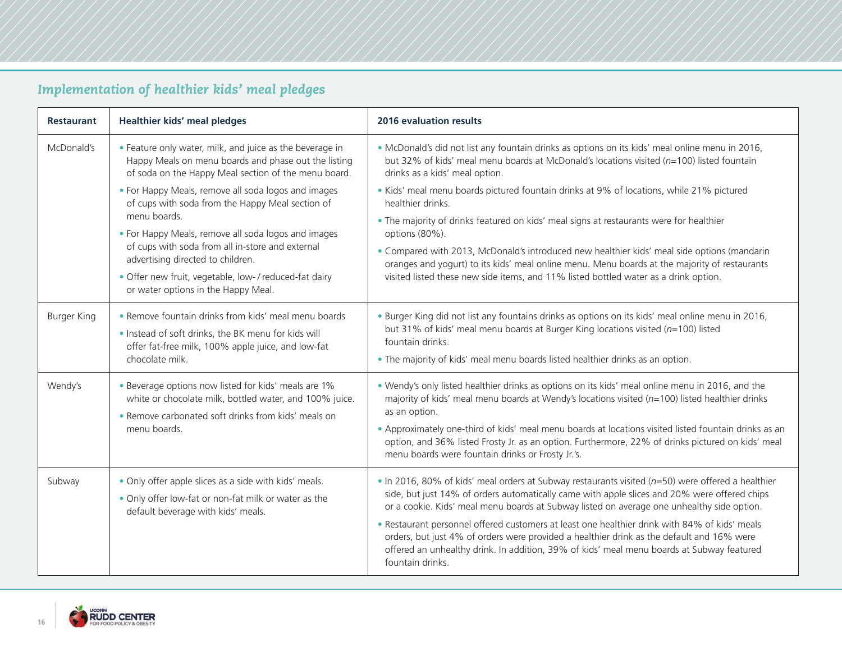# *Implementation of healthier kids' meal pledges*

| <b>Restaurant</b>  | Healthier kids' meal pledges                                                                                                                                                                                                                                                                                                                                           | 2016 evaluation results                                                                                                                                                                                                                                                                                                                                                                                                                                                                                                                                                                                        |
|--------------------|------------------------------------------------------------------------------------------------------------------------------------------------------------------------------------------------------------------------------------------------------------------------------------------------------------------------------------------------------------------------|----------------------------------------------------------------------------------------------------------------------------------------------------------------------------------------------------------------------------------------------------------------------------------------------------------------------------------------------------------------------------------------------------------------------------------------------------------------------------------------------------------------------------------------------------------------------------------------------------------------|
| McDonald's         | . Feature only water, milk, and juice as the beverage in<br>Happy Meals on menu boards and phase out the listing<br>of soda on the Happy Meal section of the menu board.                                                                                                                                                                                               | . McDonald's did not list any fountain drinks as options on its kids' meal online menu in 2016,<br>but 32% of kids' meal menu boards at McDonald's locations visited ( $n=100$ ) listed fountain<br>drinks as a kids' meal option.                                                                                                                                                                                                                                                                                                                                                                             |
|                    | • For Happy Meals, remove all soda logos and images<br>of cups with soda from the Happy Meal section of<br>menu boards.<br>• For Happy Meals, remove all soda logos and images<br>of cups with soda from all in-store and external<br>advertising directed to children.<br>· Offer new fruit, vegetable, low-/reduced-fat dairy<br>or water options in the Happy Meal. | . Kids' meal menu boards pictured fountain drinks at 9% of locations, while 21% pictured<br>healthier drinks.<br>. The majority of drinks featured on kids' meal signs at restaurants were for healthier<br>options (80%).<br>. Compared with 2013, McDonald's introduced new healthier kids' meal side options (mandarin<br>oranges and yogurt) to its kids' meal online menu. Menu boards at the majority of restaurants<br>visited listed these new side items, and 11% listed bottled water as a drink option.                                                                                             |
| <b>Burger King</b> | • Remove fountain drinks from kids' meal menu boards<br>. Instead of soft drinks, the BK menu for kids will<br>offer fat-free milk, 100% apple juice, and low-fat<br>chocolate milk.                                                                                                                                                                                   | . Burger King did not list any fountains drinks as options on its kids' meal online menu in 2016,<br>but 31% of kids' meal menu boards at Burger King locations visited ( $n=100$ ) listed<br>fountain drinks.<br>. The majority of kids' meal menu boards listed healthier drinks as an option.                                                                                                                                                                                                                                                                                                               |
| Wendy's            | • Beverage options now listed for kids' meals are 1%<br>white or chocolate milk, bottled water, and 100% juice.<br>• Remove carbonated soft drinks from kids' meals on<br>menu boards.                                                                                                                                                                                 | . Wendy's only listed healthier drinks as options on its kids' meal online menu in 2016, and the<br>majority of kids' meal menu boards at Wendy's locations visited ( $n=100$ ) listed healthier drinks<br>as an option.<br>. Approximately one-third of kids' meal menu boards at locations visited listed fountain drinks as an<br>option, and 36% listed Frosty Jr. as an option. Furthermore, 22% of drinks pictured on kids' meal<br>menu boards were fountain drinks or Frosty Jr.'s.                                                                                                                    |
| Subway             | . Only offer apple slices as a side with kids' meals.<br>. Only offer low-fat or non-fat milk or water as the<br>default beverage with kids' meals.                                                                                                                                                                                                                    | . In 2016, 80% of kids' meal orders at Subway restaurants visited (n=50) were offered a healthier<br>side, but just 14% of orders automatically came with apple slices and 20% were offered chips<br>or a cookie. Kids' meal menu boards at Subway listed on average one unhealthy side option.<br>. Restaurant personnel offered customers at least one healthier drink with 84% of kids' meals<br>orders, but just 4% of orders were provided a healthier drink as the default and 16% were<br>offered an unhealthy drink. In addition, 39% of kids' meal menu boards at Subway featured<br>fountain drinks. |

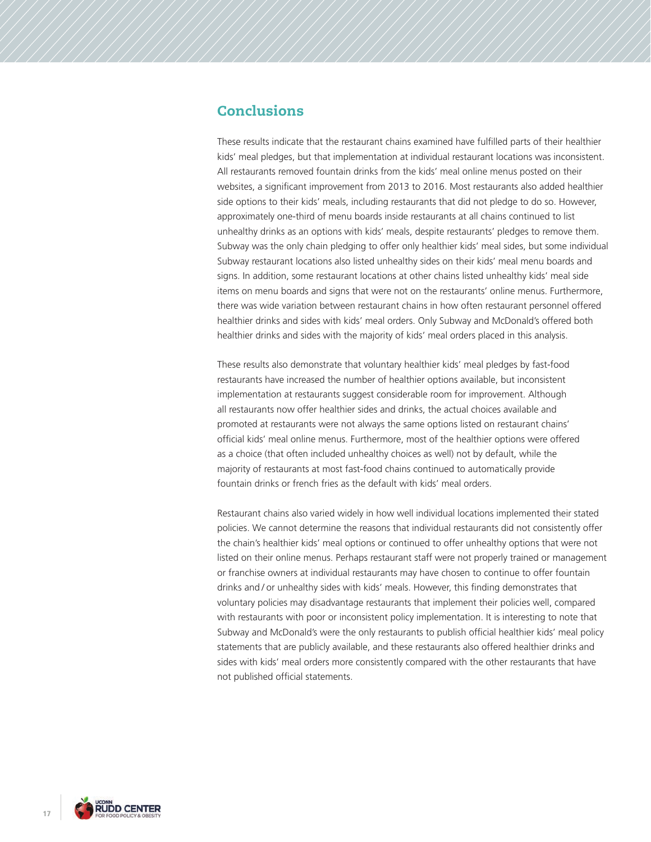# **Conclusions**

These results indicate that the restaurant chains examined have fulfilled parts of their healthier kids' meal pledges, but that implementation at individual restaurant locations was inconsistent. All restaurants removed fountain drinks from the kids' meal online menus posted on their websites, a significant improvement from 2013 to 2016. Most restaurants also added healthier side options to their kids' meals, including restaurants that did not pledge to do so. However, approximately one-third of menu boards inside restaurants at all chains continued to list unhealthy drinks as an options with kids' meals, despite restaurants' pledges to remove them. Subway was the only chain pledging to offer only healthier kids' meal sides, but some individual Subway restaurant locations also listed unhealthy sides on their kids' meal menu boards and signs. In addition, some restaurant locations at other chains listed unhealthy kids' meal side items on menu boards and signs that were not on the restaurants' online menus. Furthermore, there was wide variation between restaurant chains in how often restaurant personnel offered healthier drinks and sides with kids' meal orders. Only Subway and McDonald's offered both healthier drinks and sides with the majority of kids' meal orders placed in this analysis.

These results also demonstrate that voluntary healthier kids' meal pledges by fast-food restaurants have increased the number of healthier options available, but inconsistent implementation at restaurants suggest considerable room for improvement. Although all restaurants now offer healthier sides and drinks, the actual choices available and promoted at restaurants were not always the same options listed on restaurant chains' official kids' meal online menus. Furthermore, most of the healthier options were offered as a choice (that often included unhealthy choices as well) not by default, while the majority of restaurants at most fast-food chains continued to automatically provide fountain drinks or french fries as the default with kids' meal orders.

Restaurant chains also varied widely in how well individual locations implemented their stated policies. We cannot determine the reasons that individual restaurants did not consistently offer the chain's healthier kids' meal options or continued to offer unhealthy options that were not listed on their online menus. Perhaps restaurant staff were not properly trained or management or franchise owners at individual restaurants may have chosen to continue to offer fountain drinks and / or unhealthy sides with kids' meals. However, this finding demonstrates that voluntary policies may disadvantage restaurants that implement their policies well, compared with restaurants with poor or inconsistent policy implementation. It is interesting to note that Subway and McDonald's were the only restaurants to publish official healthier kids' meal policy statements that are publicly available, and these restaurants also offered healthier drinks and sides with kids' meal orders more consistently compared with the other restaurants that have not published official statements.

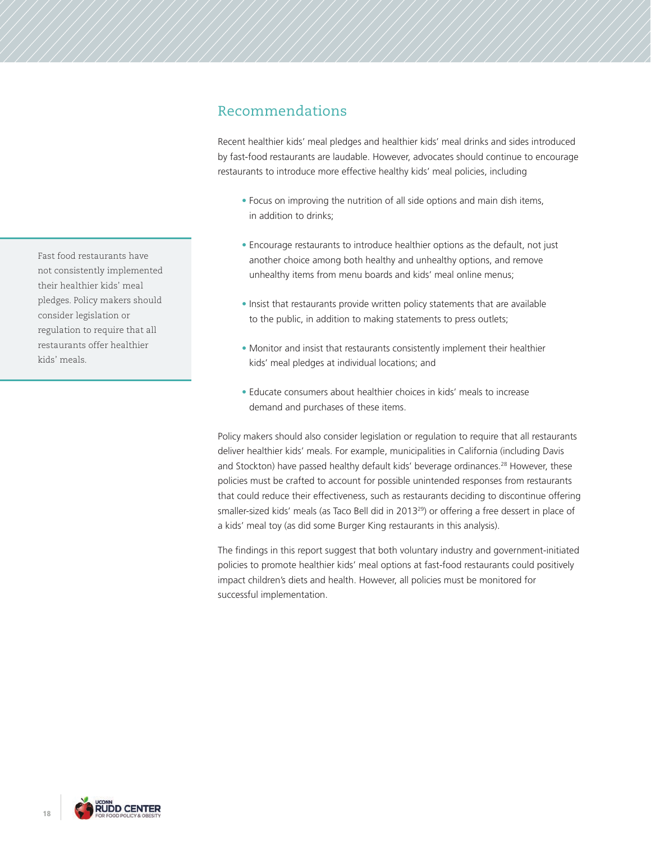# Recommendations

Recent healthier kids' meal pledges and healthier kids' meal drinks and sides introduced by fast-food restaurants are laudable. However, advocates should continue to encourage restaurants to introduce more effective healthy kids' meal policies, including

- Focus on improving the nutrition of all side options and main dish items, in addition to drinks;
- Encourage restaurants to introduce healthier options as the default, not just another choice among both healthy and unhealthy options, and remove unhealthy items from menu boards and kids' meal online menus;
- Insist that restaurants provide written policy statements that are available to the public, in addition to making statements to press outlets;
- Monitor and insist that restaurants consistently implement their healthier kids' meal pledges at individual locations; and
- Educate consumers about healthier choices in kids' meals to increase demand and purchases of these items.

Policy makers should also consider legislation or regulation to require that all restaurants deliver healthier kids' meals. For example, municipalities in California (including Davis and Stockton) have passed healthy default kids' beverage ordinances.<sup>28</sup> However, these policies must be crafted to account for possible unintended responses from restaurants that could reduce their effectiveness, such as restaurants deciding to discontinue offering smaller-sized kids' meals (as Taco Bell did in 2013<sup>29</sup>) or offering a free dessert in place of a kids' meal toy (as did some Burger King restaurants in this analysis).

The findings in this report suggest that both voluntary industry and government-initiated policies to promote healthier kids' meal options at fast-food restaurants could positively impact children's diets and health. However, all policies must be monitored for successful implementation.

Fast food restaurants have not consistently implemented their healthier kids' meal pledges. Policy makers should consider legislation or regulation to require that all restaurants offer healthier kids' meals.

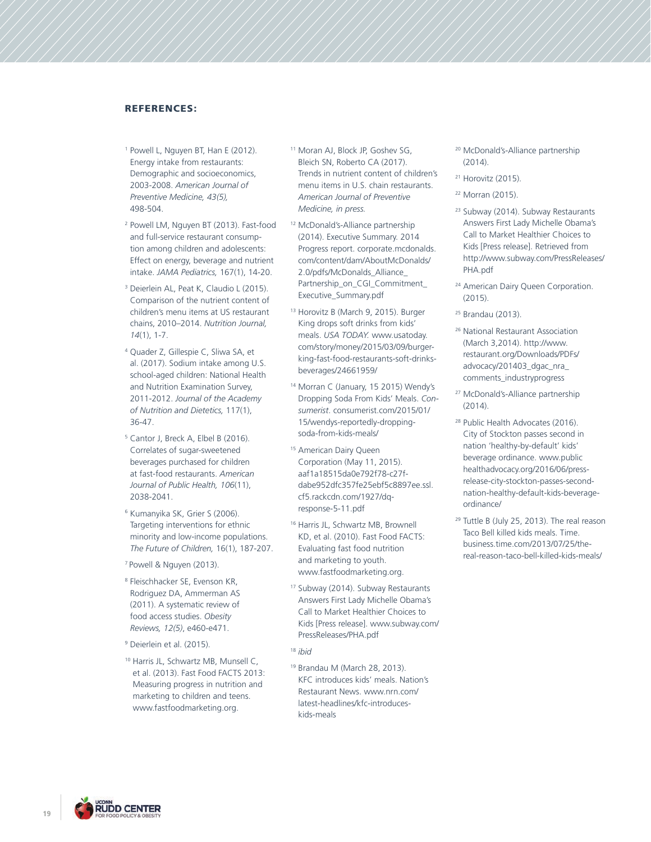## REFERENCES:

- <sup>1</sup> Powell L, Nguyen BT, Han E (2012). Energy intake from restaurants: Demographic and socioeconomics, 2003-2008. *American Journal of Preventive Medicine, 43(5),* 498-504.
- <sup>2</sup> Powell LM, Nguyen BT (2013). Fast-food and full-service restaurant consumption among children and adolescents: Effect on energy, beverage and nutrient intake. *JAMA Pediatrics,* 167(1), 14-20.
- <sup>3</sup> Deierlein AL, Peat K, Claudio L (2015). Comparison of the nutrient content of children's menu items at US restaurant chains, 2010–2014. *Nutrition Journal, 14*(1), 1-7.
- <sup>4</sup> Quader Z, Gillespie C, Sliwa SA, et al. (2017). Sodium intake among U.S. school-aged children: National Health and Nutrition Examination Survey, 2011-2012. *Journal of the Academy of Nutrition and Dietetics,* 117(1), 36-47.
- <sup>5</sup> Cantor J, Breck A, Elbel B (2016). Correlates of sugar-sweetened beverages purchased for children at fast-food restaurants. *American Journal of Public Health, 106*(11), 2038-2041.
- <sup>6</sup> Kumanyika SK, Grier S (2006). Targeting interventions for ethnic minority and low-income populations. *The Future of Children,* 16(1), 187-207.
- 7 Powell & Nguyen (2013).
- <sup>8</sup> Fleischhacker SE, Evenson KR, Rodriguez DA, Ammerman AS (2011). A systematic review of food access studies. *Obesity Reviews, 12(5)*, e460-e471.
- 9 Deierlein et al. (2015).
- <sup>10</sup> Harris JL, Schwartz MB, Munsell C, et al. (2013). Fast Food FACTS 2013: Measuring progress in nutrition and marketing to children and teens. www.fastfoodmarketing.org.
- <sup>11</sup> Moran AJ, Block JP, Goshev SG, Bleich SN, Roberto CA (2017). Trends in nutrient content of children's menu items in U.S. chain restaurants. *American Journal of Preventive Medicine, in press.*
- <sup>12</sup> McDonald's-Alliance partnership (2014). Executive Summary. 2014 Progress report. corporate.mcdonalds. com/content/dam/AboutMcDonalds/ 2.0/pdfs/McDonalds\_Alliance\_ Partnership\_on\_CGI\_Commitment Executive\_Summary.pdf
- <sup>13</sup> Horovitz B (March 9, 2015). Burger King drops soft drinks from kids' meals. *USA TODAY.* www.usatoday. com/story/money/2015/03/09/burgerking-fast-food-restaurants-soft-drinksbeverages/24661959/
- <sup>14</sup> Morran C (January, 15 2015) Wendy's Dropping Soda From Kids' Meals. *Consumerist*. consumerist.com/2015/01/ 15/wendys-reportedly-droppingsoda-from-kids-meals/
- <sup>15</sup> American Dairy Queen Corporation (May 11, 2015). aaf1a18515da0e792f78-c27fdabe952dfc357fe25ebf5c8897ee.ssl. cf5.rackcdn.com/1927/dqresponse-5-11.pdf
- <sup>16</sup> Harris JL, Schwartz MB, Brownell KD, et al. (2010). Fast Food FACTS: Evaluating fast food nutrition and marketing to youth. www.fastfoodmarketing.org.
- <sup>17</sup> Subway (2014). Subway Restaurants Answers First Lady Michelle Obama's Call to Market Healthier Choices to Kids [Press release]. www.subway.com/ PressReleases/PHA.pdf
- <sup>18</sup> *ibid*
- <sup>19</sup> Brandau M (March 28, 2013). KFC introduces kids' meals. Nation's Restaurant News. www.nrn.com/ latest-headlines/kfc-introduceskids-meals
- <sup>20</sup> McDonald's-Alliance partnership (2014).
- 21 Horovitz (2015).
- 22 Morran (2015).
- <sup>23</sup> Subway (2014). Subway Restaurants Answers First Lady Michelle Obama's Call to Market Healthier Choices to Kids [Press release]. Retrieved from http://www.subway.com/PressReleases/ PHA.pdf
- <sup>24</sup> American Dairy Queen Corporation. (2015).
- <sup>25</sup> Brandau (2013).
- <sup>26</sup> National Restaurant Association (March 3,2014). http://www. restaurant.org/Downloads/PDFs/ advocacy/201403\_dgac\_nra\_ comments\_industryprogress
- <sup>27</sup> McDonald's-Alliance partnership (2014).
- <sup>28</sup> Public Health Advocates (2016). City of Stockton passes second in nation 'healthy-by-default' kids' beverage ordinance. www.public healthadvocacy.org/2016/06/pressrelease-city-stockton-passes-secondnation-healthy-default-kids-beverageordinance/
- <sup>29</sup> Tuttle B (July 25, 2013). The real reason Taco Bell killed kids meals. Time. business.time.com/2013/07/25/thereal-reason-taco-bell-killed-kids-meals/

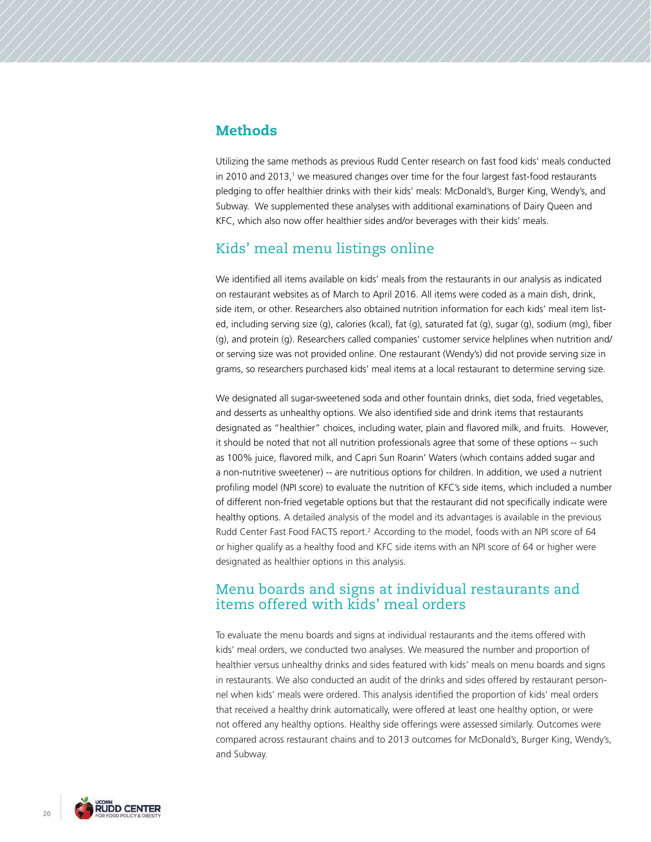## **Methods**

Utilizing the same methods as previous Rudd Center research on fast food kids' meals conducted in 2010 and 2013,<sup>1</sup> we measured changes over time for the four largest fast-food restaurants pledging to offer healthier drinks with their kids' meals: McDonald's, Burger King, Wendy's, and Subway. We supplemented these analyses with additional examinations of Dairy Queen and KFC, which also now offer healthier sides and/or beverages with their kids' meals.

## Kids' meal menu listings online

We identified all items available on kids' meals from the restaurants in our analysis as indicated on restaurant websites as of March to April 2016. All items were coded as a main dish, drink, side item, or other. Researchers also obtained nutrition information for each kids' meal item listed, including serving size (g), calories (kcal), fat (g), saturated fat (g), sugar (g), sodium (mg), fiber (g), and protein (g). Researchers called companies' customer service helplines when nutrition and/ or serving size was not provided online. One restaurant (Wendy's) did not provide serving size in grams, so researchers purchased kids' meal items at a local restaurant to determine serving size.

We designated all sugar-sweetened soda and other fountain drinks, diet soda, fried vegetables, and desserts as unhealthy options. We also identified side and drink items that restaurants designated as "healthier" choices, including water, plain and flavored milk, and fruits. However, it should be noted that not all nutrition professionals agree that some of these options -- such as 100% juice, flavored milk, and Capri Sun Roarin' Waters (which contains added sugar and a non-nutritive sweetener) -- are nutritious options for children. In addition, we used a nutrient profiling model (NPI score) to evaluate the nutrition of KFC's side items, which included a number of different non-fried vegetable options but that the restaurant did not specifically indicate were healthy options. A detailed analysis of the model and its advantages is available in the previous Rudd Center Fast Food FACTS report.<sup>2</sup> According to the model, foods with an NPI score of 64 or higher qualify as a healthy food and KFC side items with an NPI score of 64 or higher were designated as healthier options in this analysis.

## Menu boards and signs at individual restaurants and items offered with kids' meal orders

To evaluate the menu boards and signs at individual restaurants and the items offered with kids' meal orders, we conducted two analyses. We measured the number and proportion of healthier versus unhealthy drinks and sides featured with kids' meals on menu boards and signs in restaurants. We also conducted an audit of the drinks and sides offered by restaurant personnel when kids' meals were ordered. This analysis identified the proportion of kids' meal orders that received a healthy drink automatically, were offered at least one healthy option, or were not offered any healthy options. Healthy side offerings were assessed similarly. Outcomes were compared across restaurant chains and to 2013 outcomes for McDonald's, Burger King, Wendy's, and Subway.

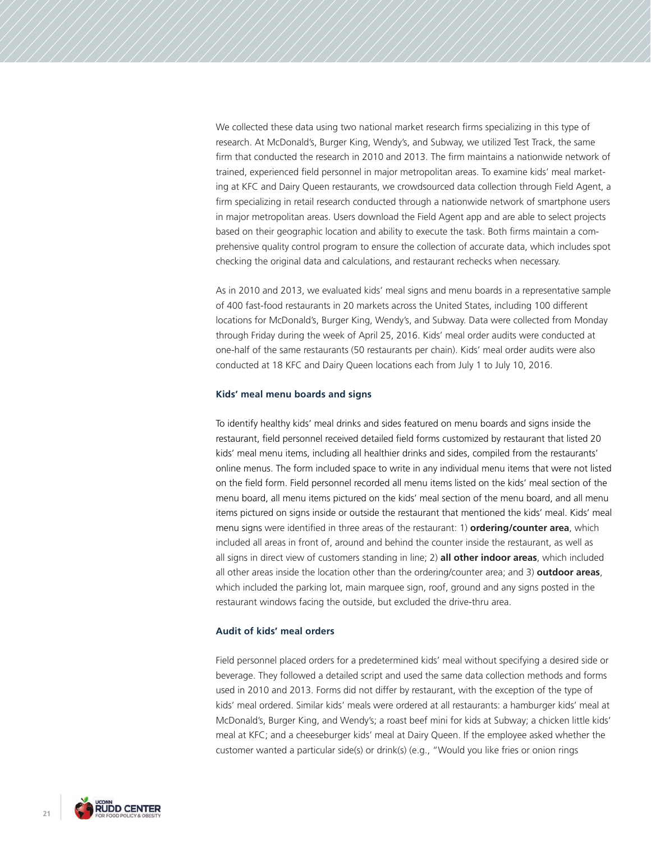We collected these data using two national market research firms specializing in this type of research. At McDonald's, Burger King, Wendy's, and Subway, we utilized Test Track, the same firm that conducted the research in 2010 and 2013. The firm maintains a nationwide network of trained, experienced field personnel in major metropolitan areas. To examine kids' meal marketing at KFC and Dairy Queen restaurants, we crowdsourced data collection through Field Agent, a firm specializing in retail research conducted through a nationwide network of smartphone users in major metropolitan areas. Users download the Field Agent app and are able to select projects based on their geographic location and ability to execute the task. Both firms maintain a comprehensive quality control program to ensure the collection of accurate data, which includes spot checking the original data and calculations, and restaurant rechecks when necessary.

As in 2010 and 2013, we evaluated kids' meal signs and menu boards in a representative sample of 400 fast-food restaurants in 20 markets across the United States, including 100 different locations for McDonald's, Burger King, Wendy's, and Subway. Data were collected from Monday through Friday during the week of April 25, 2016. Kids' meal order audits were conducted at one-half of the same restaurants (50 restaurants per chain). Kids' meal order audits were also conducted at 18 KFC and Dairy Queen locations each from July 1 to July 10, 2016.

### **Kids' meal menu boards and signs**

To identify healthy kids' meal drinks and sides featured on menu boards and signs inside the restaurant, field personnel received detailed field forms customized by restaurant that listed 20 kids' meal menu items, including all healthier drinks and sides, compiled from the restaurants' online menus. The form included space to write in any individual menu items that were not listed on the field form. Field personnel recorded all menu items listed on the kids' meal section of the menu board, all menu items pictured on the kids' meal section of the menu board, and all menu items pictured on signs inside or outside the restaurant that mentioned the kids' meal. Kids' meal menu signs were identified in three areas of the restaurant: 1) **ordering/counter area**, which included all areas in front of, around and behind the counter inside the restaurant, as well as all signs in direct view of customers standing in line; 2) **all other indoor areas**, which included all other areas inside the location other than the ordering/counter area; and 3) **outdoor areas**, which included the parking lot, main marquee sign, roof, ground and any signs posted in the restaurant windows facing the outside, but excluded the drive-thru area.

### **Audit of kids' meal orders**

Field personnel placed orders for a predetermined kids' meal without specifying a desired side or beverage. They followed a detailed script and used the same data collection methods and forms used in 2010 and 2013. Forms did not differ by restaurant, with the exception of the type of kids' meal ordered. Similar kids' meals were ordered at all restaurants: a hamburger kids' meal at McDonald's, Burger King, and Wendy's; a roast beef mini for kids at Subway; a chicken little kids' meal at KFC; and a cheeseburger kids' meal at Dairy Queen. If the employee asked whether the customer wanted a particular side(s) or drink(s) (e.g., "Would you like fries or onion rings

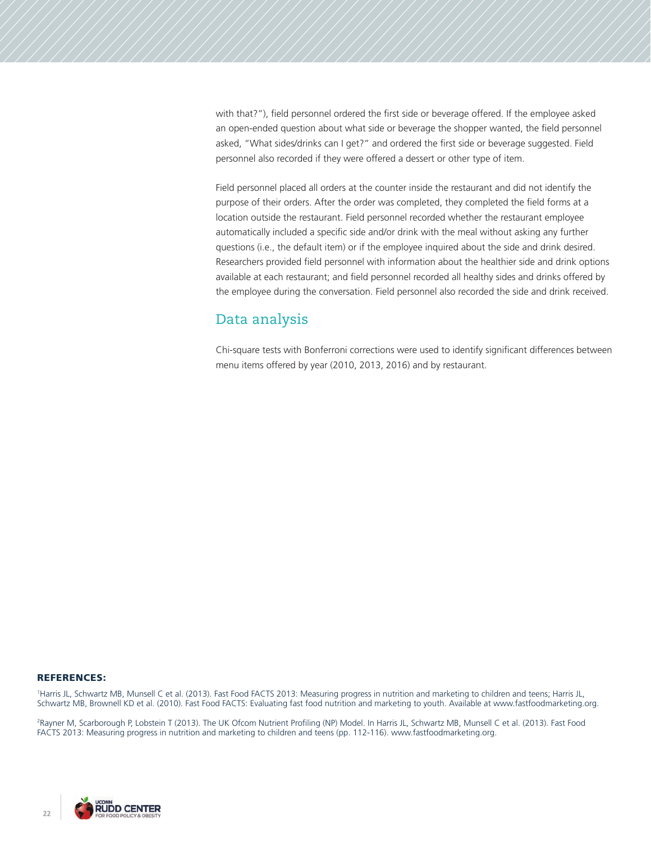with that?"), field personnel ordered the first side or beverage offered. If the employee asked an open-ended question about what side or beverage the shopper wanted, the field personnel asked, "What sides/drinks can I get?" and ordered the first side or beverage suggested. Field personnel also recorded if they were offered a dessert or other type of item.

Field personnel placed all orders at the counter inside the restaurant and did not identify the purpose of their orders. After the order was completed, they completed the field forms at a location outside the restaurant. Field personnel recorded whether the restaurant employee automatically included a specific side and/or drink with the meal without asking any further questions (i.e., the default item) or if the employee inquired about the side and drink desired. Researchers provided field personnel with information about the healthier side and drink options available at each restaurant; and field personnel recorded all healthy sides and drinks offered by the employee during the conversation. Field personnel also recorded the side and drink received.

# Data analysis

Chi-square tests with Bonferroni corrections were used to identify significant differences between menu items offered by year (2010, 2013, 2016) and by restaurant.

### REFERENCES:

1 Harris JL, Schwartz MB, Munsell C et al. (2013). Fast Food FACTS 2013: Measuring progress in nutrition and marketing to children and teens; Harris JL, Schwartz MB, Brownell KD et al. (2010). Fast Food FACTS: Evaluating fast food nutrition and marketing to youth. Available at www.fastfoodmarketing.org.

2 Rayner M, Scarborough P, Lobstein T (2013). The UK Ofcom Nutrient Profiling (NP) Model. In Harris JL, Schwartz MB, Munsell C et al. (2013). Fast Food FACTS 2013: Measuring progress in nutrition and marketing to children and teens (pp. 112-116). www.fastfoodmarketing.org.

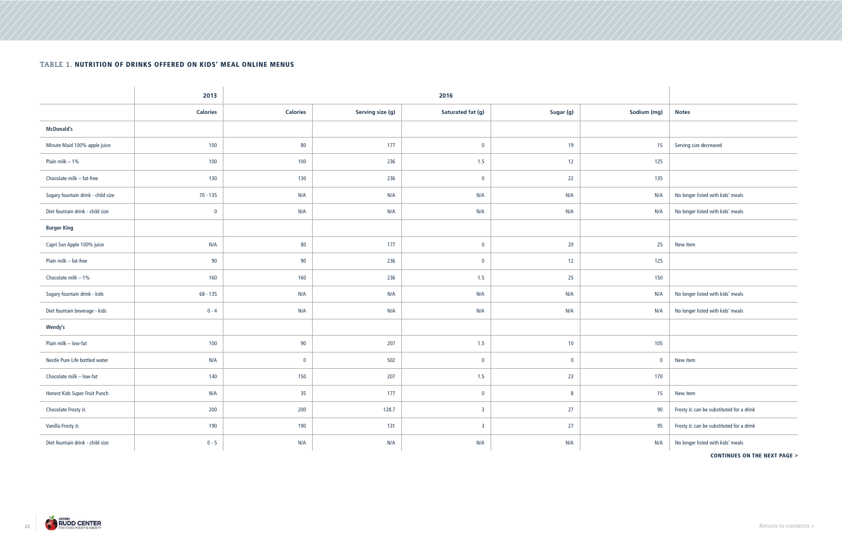|                                    | 2013            |                 | 2016             |                   |           |             |                                           |
|------------------------------------|-----------------|-----------------|------------------|-------------------|-----------|-------------|-------------------------------------------|
|                                    | <b>Calories</b> | <b>Calories</b> | Serving size (g) | Saturated fat (g) | Sugar (g) | Sodium (mg) | <b>Notes</b>                              |
| <b>McDonald's</b>                  |                 |                 |                  |                   |           |             |                                           |
| Minute Maid 100% apple juice       | 100             | 80              | 177              | $\overline{0}$    | 19        | 15          | Serving size decreased                    |
| Plain milk $-1%$                   | 100             | 100             | 236              | 1.5               | 12        | 125         |                                           |
| Chocolate milk - fat-free          | 130             | 130             | 236              | $\mathbf 0$       | 22        | 135         |                                           |
| Sugary fountain drink - child size | $70 - 135$      | N/A             | N/A              | N/A               | N/A       | N/A         | No longer listed with kids' meals         |
| Diet fountain drink - child size   | $\bf{0}$        | N/A             | N/A              | N/A               | N/A       | N/A         | No longer listed with kids' meals         |
| <b>Burger King</b>                 |                 |                 |                  |                   |           |             |                                           |
| Capri Sun Apple 100% juice         | N/A             | 80              | 177              | $\overline{0}$    | 20        | 25          | New item                                  |
| Plain milk - fat-free              | 90              | 90              | 236              | $\overline{0}$    | 12        | 125         |                                           |
| Chocolate milk $-1\%$              | 160             | 160             | 236              | 1.5               | 25        | 150         |                                           |
| Sugary fountain drink - kids       | 68 - 135        | N/A             | N/A              | N/A               | N/A       | N/A         | No longer listed with kids' meals         |
| Diet fountain beverage - kids      | $0 - 4$         | N/A             | N/A              | N/A               | N/A       | N/A         | No longer listed with kids' meals         |
| <b>Wendy's</b>                     |                 |                 |                  |                   |           |             |                                           |
| Plain milk - low-fat               | 100             | $90\,$          | 207              | 1.5               | 10        | 105         |                                           |
| Nestle Pure Life bottled water     | N/A             | $\bf{0}$        | 502              | $\mathbf 0$       | $\bf{0}$  | $\bf{0}$    | New item                                  |
| Chocolate milk - low-fat           | 140             | 150             | 207              | 1.5               | 23        | 170         |                                           |
| Honest Kids Super Fruit Punch      | N/A             | 35              | $177$            | $\overline{0}$    | 8         | 15          | New item                                  |
| Chocolate Frosty Jr.               | 200             | 200             | 128.7            | $\overline{3}$    | 27        | 90          | Frosty Jr. can be substituted for a drink |
| Vanilla Frosty Jr.                 | 190             | 190             | 131              | $\overline{3}$    | 27        | 95          | Frosty Jr. can be substituted for a drink |
| Diet fountain drink - child size   | $0 - 5$         | N/A             | N/A              | N/A               | N/A       | N/A         | No longer listed with kids' meals         |

## TABLE 1. NUTRITION OF DRINKS OFFERED ON KIDS' MEAL ONLINE MENUS

CONTINUES ON THE NEXT PAGE >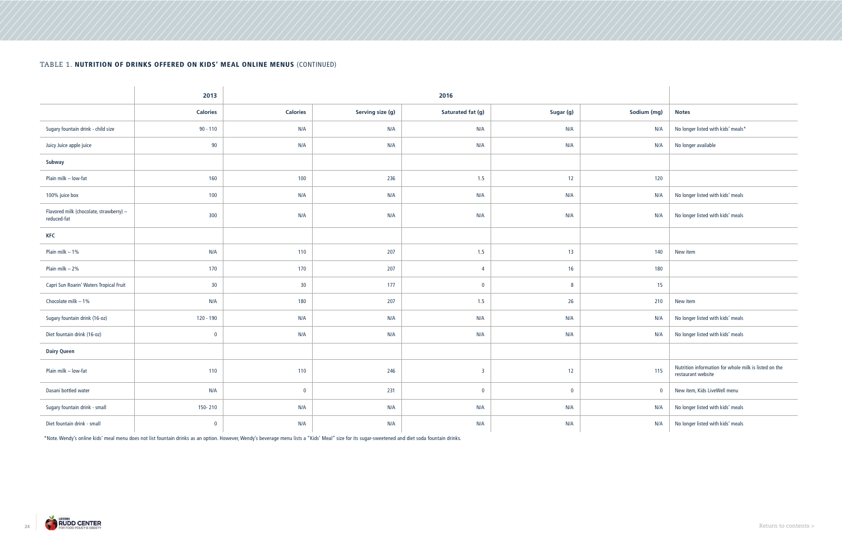|                                                        | 2013<br>2016    |                 |                  |                   |                |             |                                                                             |
|--------------------------------------------------------|-----------------|-----------------|------------------|-------------------|----------------|-------------|-----------------------------------------------------------------------------|
|                                                        | <b>Calories</b> | <b>Calories</b> | Serving size (g) | Saturated fat (g) | Sugar (g)      | Sodium (mg) | <b>Notes</b>                                                                |
| Sugary fountain drink - child size                     | $90 - 110$      | N/A             | N/A              | N/A               | N/A            | N/A         | No longer listed with kids' meals*                                          |
| Juicy Juice apple juice                                | 90              | N/A             | N/A              | N/A               | N/A            | N/A         | No longer available                                                         |
| Subway                                                 |                 |                 |                  |                   |                |             |                                                                             |
| Plain milk - low-fat                                   | 160             | 100             | 236              | 1.5               | 12             | 120         |                                                                             |
| 100% juice box                                         | 100             | N/A             | N/A              | N/A               | N/A            | N/A         | No longer listed with kids' meals                                           |
| Flavored milk (chocolate, strawberry) -<br>reduced-fat | 300             | N/A             | N/A              | N/A               | N/A            | N/A         | No longer listed with kids' meals                                           |
| <b>KFC</b>                                             |                 |                 |                  |                   |                |             |                                                                             |
| Plain milk $-1%$                                       | N/A             | 110             | 207              | 1.5               | 13             | 140         | New item                                                                    |
| Plain milk $-2%$                                       | 170             | 170             | 207              | $\overline{4}$    | 16             | 180         |                                                                             |
| Capri Sun Roarin' Waters Tropical Fruit                | 30              | $30\,$          | 177              | $\mathbf 0$       | $8\phantom{1}$ | 15          |                                                                             |
| Chocolate milk $-1\%$                                  | N/A             | 180             | 207              | 1.5               | 26             | 210         | New item                                                                    |
| Sugary fountain drink (16-oz)                          | 120 - 190       | N/A             | N/A              | N/A               | N/A            | N/A         | No longer listed with kids' meals                                           |
| Diet fountain drink (16-oz)                            | $\mathbf 0$     | N/A             | N/A              | N/A               | N/A            | N/A         | No longer listed with kids' meals                                           |
| <b>Dairy Queen</b>                                     |                 |                 |                  |                   |                |             |                                                                             |
| Plain milk - low-fat                                   | 110             | 110             | 246              | $\overline{3}$    | 12             | 115         | Nutrition information for whole milk is listed on the<br>restaurant website |
| Dasani bottled water                                   | N/A             | $\overline{0}$  | 231              | $\mathbf 0$       | $\mathbf{0}$   | $\mathbf 0$ | New item, Kids LiveWell menu                                                |
| Sugary fountain drink - small                          | 150-210         | N/A             | N/A              | N/A               | N/A            | N/A         | No longer listed with kids' meals                                           |
| Diet fountain drink - small                            | $\overline{0}$  | N/A             | N/A              | N/A               | N/A            | N/A         | No longer listed with kids' meals                                           |

## TABLE 1. NUTRITION OF DRINKS OFFERED ON KIDS' MEAL ONLINE MENUS (CONTINUED)

\*Note. Wendy's online kids' meal menu does not list fountain drinks as an option. However, Wendy's beverage menu lists a "Kids' Meal" size for its sugar-sweetened and diet soda fountain drinks.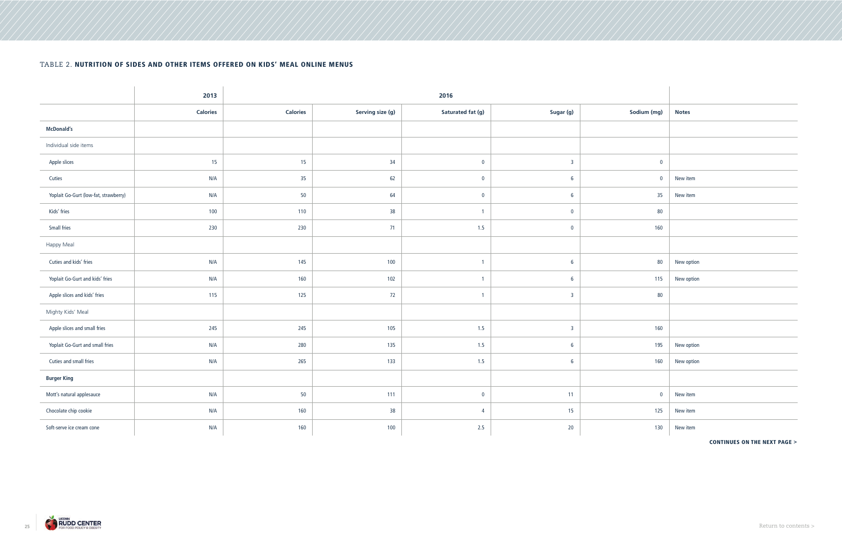## TABLE 2. NUTRITION OF SIDES AND OTHER ITEMS OFFERED ON KIDS' MEAL ONLINE MENUS

|                                       | 2013            |                 | 2016             |                   |                 |             |              |
|---------------------------------------|-----------------|-----------------|------------------|-------------------|-----------------|-------------|--------------|
|                                       | <b>Calories</b> | <b>Calories</b> | Serving size (g) | Saturated fat (g) | Sugar (g)       | Sodium (mg) | <b>Notes</b> |
| <b>McDonald's</b>                     |                 |                 |                  |                   |                 |             |              |
| Individual side items                 |                 |                 |                  |                   |                 |             |              |
| Apple slices                          | 15              | 15              | 34               | $\bf{0}$          | $\overline{3}$  | $\mathbf 0$ |              |
| Cuties                                | N/A             | 35              | 62               | $\bf{0}$          | 6               | $\bf{0}$    | New item     |
| Yoplait Go-Gurt (low-fat, strawberry) | N/A             | 50              | 64               | $\bf{0}$          | $6\phantom{.}6$ | 35          | New item     |
| Kids' fries                           | 100             | 110             | 38               | $\overline{1}$    | $\bf{0}$        | 80          |              |
| Small fries                           | 230             | 230             | 71               | 1.5               | $\bf{0}$        | 160         |              |
| Happy Meal                            |                 |                 |                  |                   |                 |             |              |
| Cuties and kids' fries                | N/A             | 145             | 100              | $\overline{1}$    | 6               | 80          | New option   |
| Yoplait Go-Gurt and kids' fries       | N/A             | 160             | 102              | $\overline{1}$    | $6\phantom{.}6$ | 115         | New option   |
| Apple slices and kids' fries          | 115             | 125             | 72               | $\overline{1}$    | $\overline{3}$  | 80          |              |
| Mighty Kids' Meal                     |                 |                 |                  |                   |                 |             |              |
| Apple slices and small fries          | 245             | 245             | 105              | 1.5               | $\overline{3}$  | 160         |              |
| Yoplait Go-Gurt and small fries       | N/A             | 280             | 135              | 1.5               | 6               | 195         | New option   |
| Cuties and small fries                | N/A             | 265             | 133              | 1.5               | 6               | 160         | New option   |
| <b>Burger King</b>                    |                 |                 |                  |                   |                 |             |              |
| Mott's natural applesauce             | N/A             | 50              | 111              | $\mathbf 0$       | 11              | $\mathbf 0$ | New item     |
| Chocolate chip cookie                 | N/A             | 160             | 38               | $\overline{4}$    | 15              | 125         | New item     |
| Soft-serve ice cream cone             | N/A             | 160             | 100              | 2.5               | 20              | 130         | New item     |

## CONTINUES ON THE NEXT PAGE >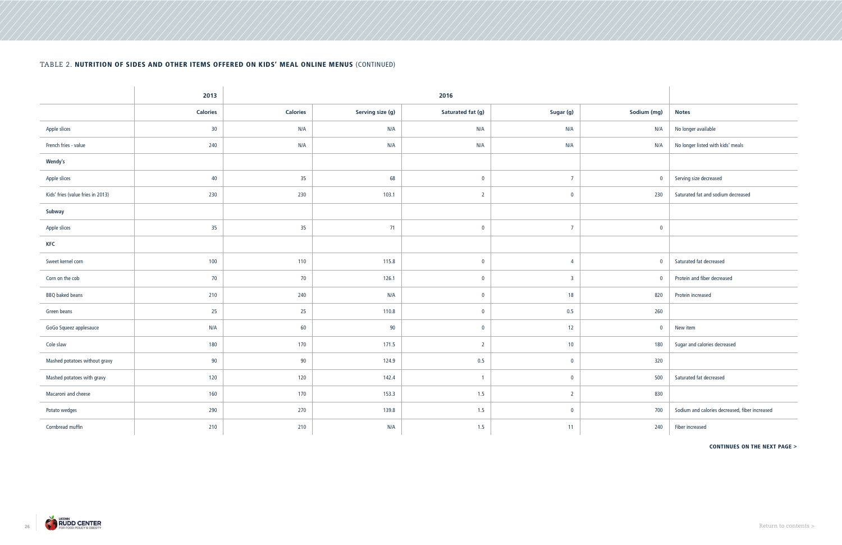## TABLE 2. NUTRITION OF SIDES AND OTHER ITEMS OFFERED ON KIDS' MEAL ONLINE MENUS (CONTINUED)

|                                   | 2013            |                 | 2016             |                   |                         |             |                                                |
|-----------------------------------|-----------------|-----------------|------------------|-------------------|-------------------------|-------------|------------------------------------------------|
|                                   | <b>Calories</b> | <b>Calories</b> | Serving size (g) | Saturated fat (g) | Sugar (g)               | Sodium (mg) | <b>Notes</b>                                   |
| Apple slices                      | 30              | N/A             | N/A              | N/A               | N/A                     | N/A         | No longer available                            |
| French fries - value              | 240             | N/A             | N/A              | N/A               | N/A                     | N/A         | No longer listed with kids' meals              |
| Wendy's                           |                 |                 |                  |                   |                         |             |                                                |
| Apple slices                      | 40              | 35              | 68               | $\mathbf 0$       | $\overline{7}$          | $\mathbf 0$ | Serving size decreased                         |
| Kids' fries (value fries in 2013) | 230             | 230             | 103.1            | $\overline{2}$    | $\bf{0}$                | 230         | Saturated fat and sodium decreased             |
| Subway                            |                 |                 |                  |                   |                         |             |                                                |
| Apple slices                      | 35              | 35              | 71               | $\bf{0}$          | $\overline{7}$          | $\bf{0}$    |                                                |
| <b>KFC</b>                        |                 |                 |                  |                   |                         |             |                                                |
| Sweet kernel corn                 | 100             | 110             | 115.8            | $\bf{0}$          | $\overline{4}$          | $\mathbf 0$ | Saturated fat decreased                        |
| Corn on the cob                   | 70              | 70              | 126.1            | $\mathbf 0$       | $\overline{\mathbf{3}}$ | $\mathbf 0$ | Protein and fiber decreased                    |
| <b>BBQ</b> baked beans            | 210             | 240             | N/A              | $\bf{0}$          | 18                      | 820         | Protein increased                              |
| Green beans                       | 25              | 25              | 110.8            | $\mathbf 0$       | 0.5                     | 260         |                                                |
| GoGo Squeez applesauce            | N/A             | 60              | 90               | $\mathbf 0$       | 12                      | $\mathbf 0$ | New item                                       |
| Cole slaw                         | 180             | 170             | 171.5            | $\overline{2}$    | 10                      | 180         | Sugar and calories decreased                   |
| Mashed potatoes without gravy     | 90              | 90              | 124.9            | $0.5\,$           | $\overline{0}$          | 320         |                                                |
| Mashed potatoes with gravy        | 120             | 120             | 142.4            | $\overline{1}$    | $\overline{0}$          | 500         | Saturated fat decreased                        |
| Macaroni and cheese               | 160             | 170             | 153.3            | 1.5               | $\overline{2}$          | 830         |                                                |
| Potato wedges                     | 290             | 270             | 139.8            | 1.5               | $\overline{0}$          | 700         | Sodium and calories decreased, fiber increased |
| Cornbread muffin                  | 210             | 210             | N/A              | 1.5               | 11                      | 240         | Fiber increased                                |

## CONTINUES ON THE NEXT PAGE >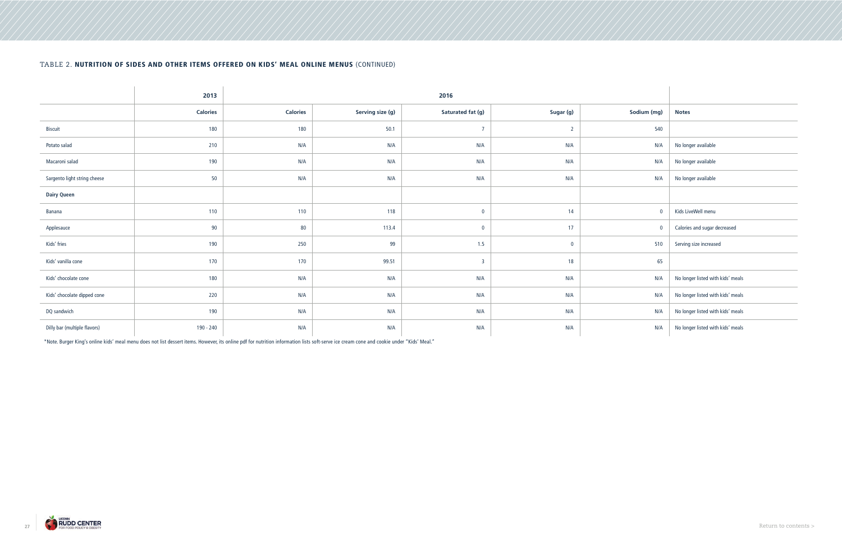## TABLE 2. NUTRITION OF SIDES AND OTHER ITEMS OFFERED ON KIDS' MEAL ONLINE MENUS (CONTINUED)

|                              | 2013            | 2016            |                  |                         |                |             |                                   |
|------------------------------|-----------------|-----------------|------------------|-------------------------|----------------|-------------|-----------------------------------|
|                              | <b>Calories</b> | <b>Calories</b> | Serving size (g) | Saturated fat (g)       | Sugar (g)      | Sodium (mg) | <b>Notes</b>                      |
| <b>Biscuit</b>               | 180             | 180             | 50.1             | $\overline{7}$          | $\overline{2}$ | 540         |                                   |
| Potato salad                 | 210             | N/A             | N/A              | N/A                     | N/A            | N/A         | No longer available               |
| Macaroni salad               | 190             | N/A             | N/A              | N/A                     | N/A            | N/A         | No longer available               |
| Sargento light string cheese | 50              | N/A             | N/A              | N/A                     | N/A            | N/A         | No longer available               |
| <b>Dairy Queen</b>           |                 |                 |                  |                         |                |             |                                   |
| Banana                       | 110             | 110             | 118              | $\mathbf 0$             | 14             | $\bf{0}$    | Kids LiveWell menu                |
| Applesauce                   | 90              | 80              | 113.4            | $\mathbf 0$             | 17             | $\bf{0}$    | Calories and sugar decreased      |
| Kids' fries                  | 190             | 250             | 99               | 1.5                     | $\bf{0}$       | 510         | Serving size increased            |
| Kids' vanilla cone           | 170             | 170             | 99.51            | $\overline{\mathbf{3}}$ | 18             | 65          |                                   |
| Kids' chocolate cone         | 180             | N/A             | N/A              | N/A                     | N/A            | N/A         | No longer listed with kids' meals |
| Kids' chocolate dipped cone  | 220             | N/A             | N/A              | N/A                     | N/A            | N/A         | No longer listed with kids' meals |
| DQ sandwich                  | 190             | N/A             | N/A              | N/A                     | N/A            | N/A         | No longer listed with kids' meals |
| Dilly bar (multiple flavors) | 190 - 240       | N/A             | N/A              | N/A                     | N/A            | N/A         | No longer listed with kids' meals |

\*Note. Burger King's online kids' meal menu does not list dessert items. However, its online pdf for nutrition information lists soft-serve ice cream cone and cookie under "Kids' Meal."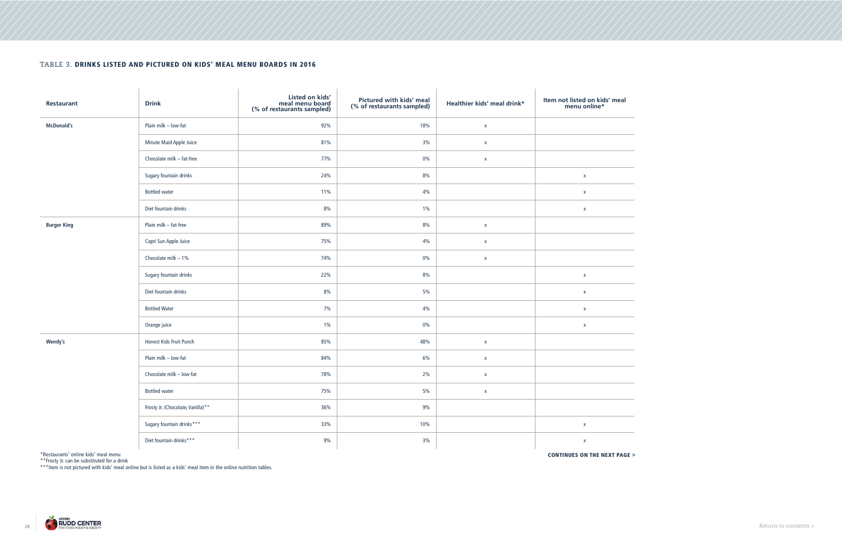## TABLE 3. DRINKS LISTED AND PICTURED ON KIDS' MEAL MENU BOARDS IN 2016

| Restaurant         | <b>Drink</b>                      | Listed on kids'<br>meal menu board<br>(% of restaurants sampled) | Pictured with kids' meal<br>(% of restaurants sampled) | Healthier kids' meal drink* | Item not listed on kids' meal<br>menu online* |
|--------------------|-----------------------------------|------------------------------------------------------------------|--------------------------------------------------------|-----------------------------|-----------------------------------------------|
| <b>McDonald's</b>  | Plain milk - low-fat              | 92%                                                              | 18%                                                    | $\mathsf X$                 |                                               |
|                    | Minute Maid Apple Juice           | 81%                                                              | 3%                                                     | $\mathsf X$                 |                                               |
|                    | Chocolate milk - fat-free         | 77%                                                              | $0\%$                                                  | $\mathsf X$                 |                                               |
|                    | Sugary fountain drinks            | 24%                                                              | 8%                                                     |                             | $\pmb{\mathsf{X}}$                            |
|                    | <b>Bottled water</b>              | 11%                                                              | 4%                                                     |                             | $\mathsf{X}$                                  |
|                    | Diet fountain drinks              | 8%                                                               | $1\%$                                                  |                             | $\pmb{\mathsf{X}}$                            |
| <b>Burger King</b> | Plain milk - fat-free             | 89%                                                              | 8%                                                     | $\mathsf X$                 |                                               |
|                    | Capri Sun Apple Juice             | 75%                                                              | 4%                                                     | $\mathsf X$                 |                                               |
|                    | Chocolate milk $-1\%$             | 74%                                                              | $0\%$                                                  | $\mathsf X$                 |                                               |
|                    | Sugary fountain drinks            | 22%                                                              | 8%                                                     |                             | $\pmb{\mathsf{X}}$                            |
|                    | Diet fountain drinks              | 8%                                                               | 5%                                                     |                             | $\pmb{\mathsf{X}}$                            |
|                    | <b>Bottled Water</b>              | 7%                                                               | 4%                                                     |                             | $\pmb{\mathsf{X}}$                            |
|                    | Orange juice                      | $1\%$                                                            | $0\%$                                                  |                             | $\pmb{\mathsf{X}}$                            |
| Wendy's            | Honest Kids Fruit Punch           | 85%                                                              | 48%                                                    | $\mathsf X$                 |                                               |
|                    | Plain milk - low-fat              | 84%                                                              | 6%                                                     | $\mathsf X$                 |                                               |
|                    | Chocolate milk - low-fat          | 78%                                                              | 2%                                                     | $\mathsf X$                 |                                               |
|                    | <b>Bottled water</b>              | 75%                                                              | $5\%$                                                  | $\mathsf X$                 |                                               |
|                    | Frosty Jr. (Chocolate, Vanilla)** | 36%                                                              | 9%                                                     |                             |                                               |
|                    | Sugary fountain drinks***         | 33%                                                              | 10%                                                    |                             | $\mathsf{X}% _{0}$                            |
|                    | Diet fountain drinks***           | 9%                                                               | 3%                                                     |                             | $\mathsf{X}% _{0}$                            |

\*Restaurants' online kids' meal menu **CONTINUES ON THE NEXT PAGE > CONTINUES ON THE NEXT PAGE >** 

\*\*Frosty Jr. can be substituted for a drink

\*\*\*Item is not pictured with kids' meal online but is listed as a kids' meal item in the online nutrition tables.

**Contract Contract** 

**Contract Contract Contract Contract** 

**Contract Contract** 

and the control of **Contract Contract** 

**Contract Contract**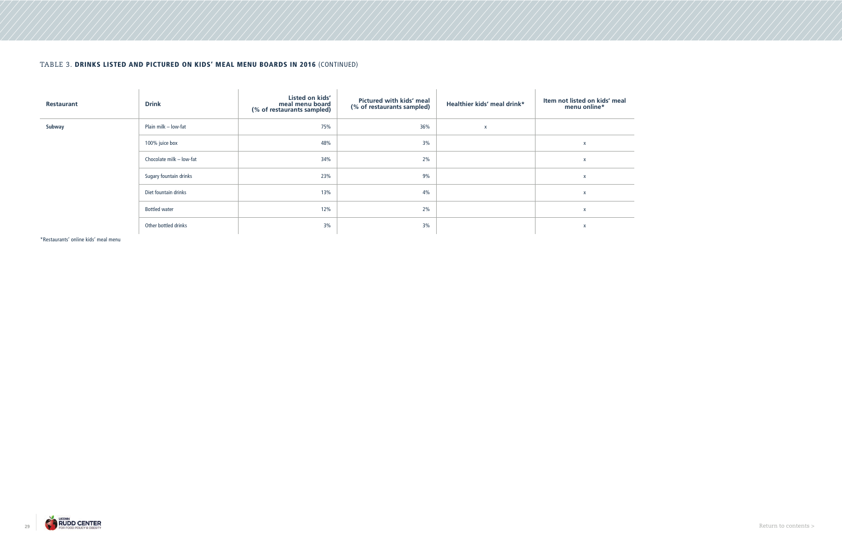## TABLE 3. DRINKS LISTED AND PICTURED ON KIDS' MEAL MENU BOARDS IN 2016 (CONTINUED)

| Restaurant | <b>Drink</b>             | Listed on kids'<br>meal menu board<br>(% of restaurants sampled) | Pictured with kids' meal<br>(% of restaurants sampled) | Healthier kids' meal drink* | Item not listed on kids' meal<br>menu online* |
|------------|--------------------------|------------------------------------------------------------------|--------------------------------------------------------|-----------------------------|-----------------------------------------------|
| Subway     | Plain milk - low-fat     | 75%                                                              | 36%                                                    | X                           |                                               |
|            | 100% juice box           | 48%                                                              | 3%                                                     |                             | $\mathsf{X}$                                  |
|            | Chocolate milk - low-fat | 34%                                                              | 2%                                                     |                             | X                                             |
|            | Sugary fountain drinks   | 23%                                                              | 9%                                                     |                             | X                                             |
|            | Diet fountain drinks     | 13%                                                              | 4%                                                     |                             | $\boldsymbol{\mathsf{x}}$                     |
|            | <b>Bottled water</b>     | 12%                                                              | 2%                                                     |                             | X                                             |
|            | Other bottled drinks     | 3%                                                               | 3%                                                     |                             | $\mathsf{X}$                                  |

\*Restaurants' online kids' meal menu

**Contract Contract** 

29 Return to contents  $>$  Return to contents  $>$